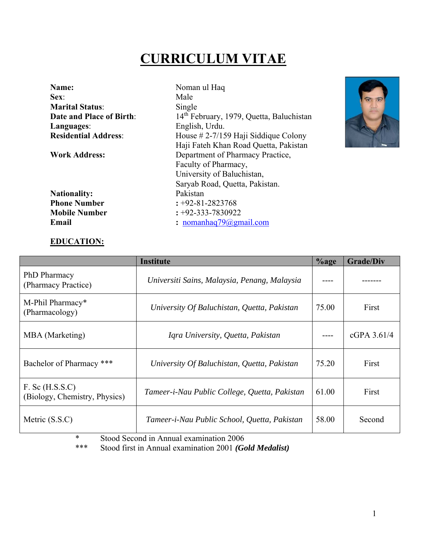# **CURRICULUM VITAE**

| Name:<br>Sex:               | Noman ul Haq<br>Male                                 |
|-----------------------------|------------------------------------------------------|
| <b>Marital Status:</b>      | Single                                               |
| Date and Place of Birth:    | 14 <sup>th</sup> February, 1979, Quetta, Baluchistan |
| Languages:                  | English, Urdu.                                       |
| <b>Residential Address:</b> | House $# 2-7/159$ Haji Siddique Colony               |
|                             | Haji Fateh Khan Road Quetta, Pakistan                |
| <b>Work Address:</b>        | Department of Pharmacy Practice,                     |
|                             | Faculty of Pharmacy,                                 |
|                             | University of Baluchistan,                           |
|                             | Saryab Road, Quetta, Pakistan.                       |
| <b>Nationality:</b>         | Pakistan                                             |
| <b>Phone Number</b>         | $: +92 - 81 - 2823768$                               |
| <b>Mobile Number</b>        | $: +92 - 333 - 7830922$                              |
| Email                       | : nomanhaq $79$ @gmail.com                           |



## **EDUCATION:**

|                                                      | <b>Institute</b>                              | $%$ age | <b>Grade/Div</b> |
|------------------------------------------------------|-----------------------------------------------|---------|------------------|
| PhD Pharmacy<br>(Pharmacy Practice)                  | Universiti Sains, Malaysia, Penang, Malaysia  |         |                  |
| M-Phil Pharmacy*<br>(Pharmacology)                   | University Of Baluchistan, Quetta, Pakistan   | 75.00   | First            |
| MBA (Marketing)                                      | Iqra University, Quetta, Pakistan             |         | cGPA $3.61/4$    |
| Bachelor of Pharmacy ***                             | University Of Baluchistan, Quetta, Pakistan   | 75.20   | First            |
| $F.$ Sc $(H.S.S.C)$<br>(Biology, Chemistry, Physics) | Tameer-i-Nau Public College, Quetta, Pakistan | 61.00   | First            |
| Metric (S.S.C)                                       | Tameer-i-Nau Public School, Quetta, Pakistan  | 58.00   | Second           |

\* Stood Second in Annual examination 2006<br>\*\*\* Stood first in Annual examination 2001 (G

\*\*\* Stood first in Annual examination 2001 *(Gold Medalist)*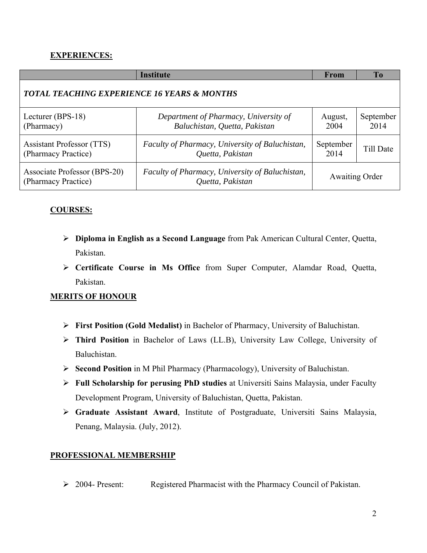# **EXPERIENCES:**

|                                                         | <b>Institute</b>                                                       | From                  | <b>To</b>         |
|---------------------------------------------------------|------------------------------------------------------------------------|-----------------------|-------------------|
| <b>TOTAL TEACHING EXPERIENCE 16 YEARS &amp; MONTHS</b>  |                                                                        |                       |                   |
| Lecturer (BPS-18)<br>(Pharmacy)                         | Department of Pharmacy, University of<br>Baluchistan, Quetta, Pakistan | August,<br>2004       | September<br>2014 |
| <b>Assistant Professor (TTS)</b><br>(Pharmacy Practice) | Faculty of Pharmacy, University of Baluchistan,<br>Quetta, Pakistan    | September<br>2014     | Till Date         |
| Associate Professor (BPS-20)<br>(Pharmacy Practice)     | Faculty of Pharmacy, University of Baluchistan,<br>Quetta, Pakistan    | <b>Awaiting Order</b> |                   |

# **COURSES:**

- **Diploma in English as a Second Language** from Pak American Cultural Center, Quetta, Pakistan.
- **Certificate Course in Ms Office** from Super Computer, Alamdar Road, Quetta, Pakistan.

## **MERITS OF HONOUR**

- **First Position (Gold Medalist)** in Bachelor of Pharmacy, University of Baluchistan.
- **Third Position** in Bachelor of Laws (LL.B), University Law College, University of Baluchistan.
- **Second Position** in M Phil Pharmacy (Pharmacology), University of Baluchistan.
- **Full Scholarship for perusing PhD studies** at Universiti Sains Malaysia, under Faculty Development Program, University of Baluchistan, Quetta, Pakistan.
- **Graduate Assistant Award**, Institute of Postgraduate, Universiti Sains Malaysia, Penang, Malaysia. (July, 2012).

## **PROFESSIONAL MEMBERSHIP**

2004- Present: Registered Pharmacist with the Pharmacy Council of Pakistan.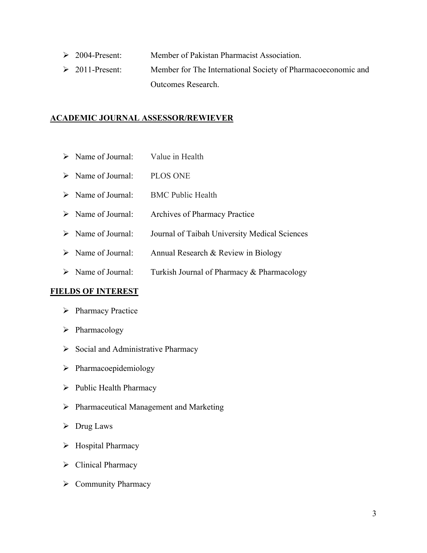- 2004-Present: Member of Pakistan Pharmacist Association.
- 2011-Present: Member for The International Society of Pharmacoeconomic and Outcomes Research.

## **ACADEMIC JOURNAL ASSESSOR/REWIEVER**

- $\triangleright$  Name of Journal: Value in Health
- > Name of Journal: PLOS ONE
- $\triangleright$  Name of Journal: BMC Public Health
- > Name of Journal: Archives of Pharmacy Practice
- > Name of Journal: Journal of Taibah University Medical Sciences
- $\triangleright$  Name of Journal: Annual Research & Review in Biology
- $\triangleright$  Name of Journal: Turkish Journal of Pharmacy & Pharmacology

#### **FIELDS OF INTEREST**

- $\triangleright$  Pharmacy Practice
- $\triangleright$  Pharmacology
- $\triangleright$  Social and Administrative Pharmacy
- $\triangleright$  Pharmacoepidemiology
- $\triangleright$  Public Health Pharmacy
- $\triangleright$  Pharmaceutical Management and Marketing
- $\triangleright$  Drug Laws
- $\triangleright$  Hospital Pharmacy
- $\triangleright$  Clinical Pharmacy
- $\triangleright$  Community Pharmacy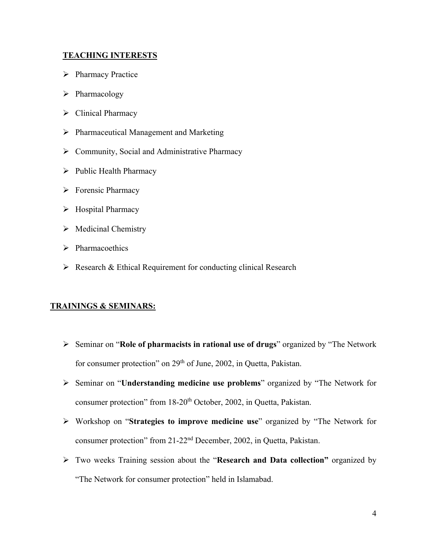## **TEACHING INTERESTS**

- $\triangleright$  Pharmacy Practice
- $\triangleright$  Pharmacology
- $\triangleright$  Clinical Pharmacy
- $\triangleright$  Pharmaceutical Management and Marketing
- ▶ Community, Social and Administrative Pharmacy
- $\triangleright$  Public Health Pharmacy
- $\triangleright$  Forensic Pharmacy
- $\triangleright$  Hospital Pharmacy
- $\triangleright$  Medicinal Chemistry
- $\triangleright$  Pharmacoethics
- $\triangleright$  Research & Ethical Requirement for conducting clinical Research

#### **TRAININGS & SEMINARS:**

- Seminar on "**Role of pharmacists in rational use of drugs**" organized by "The Network for consumer protection" on 29<sup>th</sup> of June, 2002, in Quetta, Pakistan.
- Seminar on "**Understanding medicine use problems**" organized by "The Network for consumer protection" from 18-20<sup>th</sup> October, 2002, in Quetta, Pakistan.
- Workshop on "**Strategies to improve medicine use**" organized by "The Network for consumer protection" from 21-22nd December, 2002, in Quetta, Pakistan.
- Two weeks Training session about the "**Research and Data collection"** organized by "The Network for consumer protection" held in Islamabad.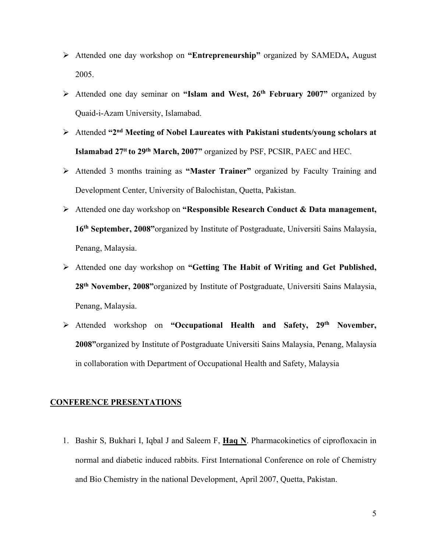- Attended one day workshop on **"Entrepreneurship"** organized by SAMEDA**,** August 2005.
- Attended one day seminar on **"Islam and West, 26th February 2007"** organized by Quaid-i-Azam University, Islamabad.
- Attended **"2nd Meeting of Nobel Laureates with Pakistani students/young scholars at Islamabad 27tt to 29th March, 2007"** organized by PSF, PCSIR, PAEC and HEC.
- Attended 3 months training as **"Master Trainer"** organized by Faculty Training and Development Center, University of Balochistan, Quetta, Pakistan.
- Attended one day workshop on **"Responsible Research Conduct & Data management, 16th September, 2008"**organized by Institute of Postgraduate, Universiti Sains Malaysia, Penang, Malaysia.
- Attended one day workshop on **"Getting The Habit of Writing and Get Published, 28th November, 2008"**organized by Institute of Postgraduate, Universiti Sains Malaysia, Penang, Malaysia.
- Attended workshop on **"Occupational Health and Safety, 29th November, 2008"**organized by Institute of Postgraduate Universiti Sains Malaysia, Penang, Malaysia in collaboration with Department of Occupational Health and Safety, Malaysia

#### **CONFERENCE PRESENTATIONS**

1. Bashir S, Bukhari I, Iqbal J and Saleem F, **Haq N**. Pharmacokinetics of ciprofloxacin in normal and diabetic induced rabbits. First International Conference on role of Chemistry and Bio Chemistry in the national Development, April 2007, Quetta, Pakistan.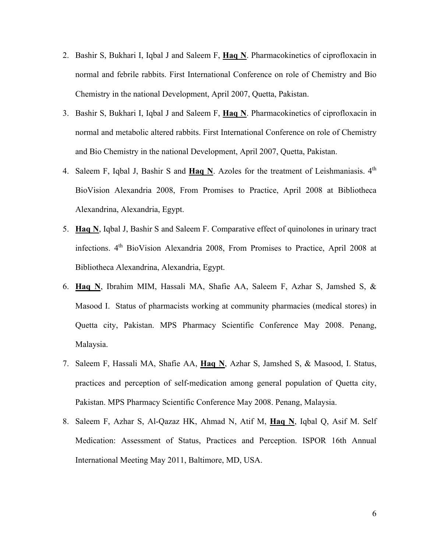- 2. Bashir S, Bukhari I, Iqbal J and Saleem F, **Haq N**. Pharmacokinetics of ciprofloxacin in normal and febrile rabbits. First International Conference on role of Chemistry and Bio Chemistry in the national Development, April 2007, Quetta, Pakistan.
- 3. Bashir S, Bukhari I, Iqbal J and Saleem F, **Haq N**. Pharmacokinetics of ciprofloxacin in normal and metabolic altered rabbits. First International Conference on role of Chemistry and Bio Chemistry in the national Development, April 2007, Quetta, Pakistan.
- 4. Saleem F, Iqbal J, Bashir S and Haq N. Azoles for the treatment of Leishmaniasis. 4<sup>th</sup> BioVision Alexandria 2008, From Promises to Practice, April 2008 at Bibliotheca Alexandrina, Alexandria, Egypt.
- 5. **Haq N**, Iqbal J, Bashir S and Saleem F. Comparative effect of quinolones in urinary tract infections. 4th BioVision Alexandria 2008, From Promises to Practice, April 2008 at Bibliotheca Alexandrina, Alexandria, Egypt.
- 6. **Haq N**, Ibrahim MIM, Hassali MA, Shafie AA, Saleem F, Azhar S, Jamshed S, & Masood I. Status of pharmacists working at community pharmacies (medical stores) in Quetta city, Pakistan. MPS Pharmacy Scientific Conference May 2008. Penang, Malaysia.
- 7. Saleem F, Hassali MA, Shafie AA, **Haq N**, Azhar S, Jamshed S, & Masood, I. Status, practices and perception of self-medication among general population of Quetta city, Pakistan. MPS Pharmacy Scientific Conference May 2008. Penang, Malaysia.
- 8. Saleem F, Azhar S, Al-Qazaz HK, Ahmad N, Atif M, **Haq N**, Iqbal Q, Asif M. Self Medication: Assessment of Status, Practices and Perception. ISPOR 16th Annual International Meeting May 2011, Baltimore, MD, USA.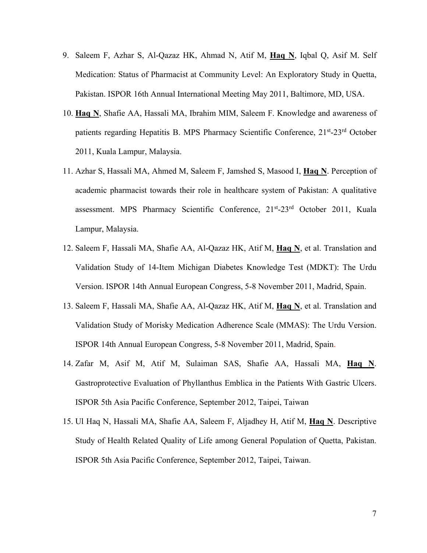- 9. Saleem F, Azhar S, Al-Qazaz HK, Ahmad N, Atif M, **Haq N**, Iqbal Q, Asif M. Self Medication: Status of Pharmacist at Community Level: An Exploratory Study in Quetta, Pakistan. ISPOR 16th Annual International Meeting May 2011, Baltimore, MD, USA.
- 10. **Haq N**, Shafie AA, Hassali MA, Ibrahim MIM, Saleem F. Knowledge and awareness of patients regarding Hepatitis B. MPS Pharmacy Scientific Conference, 21<sup>st</sup>-23<sup>rd</sup> October 2011, Kuala Lampur, Malaysia.
- 11. Azhar S, Hassali MA, Ahmed M, Saleem F, Jamshed S, Masood I, **Haq N**. Perception of academic pharmacist towards their role in healthcare system of Pakistan: A qualitative assessment. MPS Pharmacy Scientific Conference, 21st-23rd October 2011, Kuala Lampur, Malaysia.
- 12. Saleem F, Hassali MA, Shafie AA, Al-Qazaz HK, Atif M, **Haq N**, et al. Translation and Validation Study of 14-Item Michigan Diabetes Knowledge Test (MDKT): The Urdu Version. ISPOR 14th Annual European Congress, 5-8 November 2011, Madrid, Spain.
- 13. Saleem F, Hassali MA, Shafie AA, Al-Qazaz HK, Atif M, **Haq N**, et al. Translation and Validation Study of Morisky Medication Adherence Scale (MMAS): The Urdu Version. ISPOR 14th Annual European Congress, 5-8 November 2011, Madrid, Spain.
- 14. Zafar M, Asif M, Atif M, Sulaiman SAS, Shafie AA, Hassali MA, **Haq N**. Gastroprotective Evaluation of Phyllanthus Emblica in the Patients With Gastric Ulcers. ISPOR 5th Asia Pacific Conference, September 2012, Taipei, Taiwan
- 15. Ul Haq N, Hassali MA, Shafie AA, Saleem F, Aljadhey H, Atif M, **Haq N**. Descriptive Study of Health Related Quality of Life among General Population of Quetta, Pakistan. ISPOR 5th Asia Pacific Conference, September 2012, Taipei, Taiwan.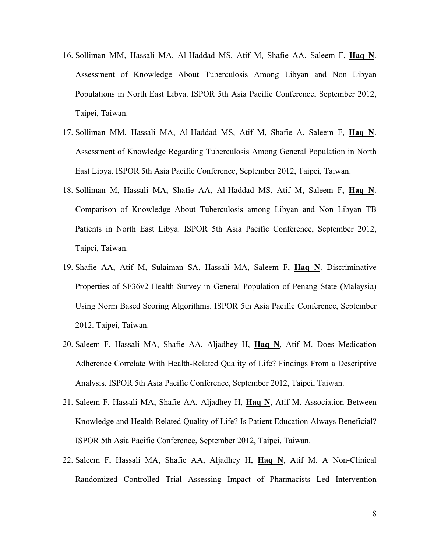- 16. Solliman MM, Hassali MA, Al-Haddad MS, Atif M, Shafie AA, Saleem F, **Haq N**. Assessment of Knowledge About Tuberculosis Among Libyan and Non Libyan Populations in North East Libya. ISPOR 5th Asia Pacific Conference, September 2012, Taipei, Taiwan.
- 17. Solliman MM, Hassali MA, Al-Haddad MS, Atif M, Shafie A, Saleem F, **Haq N**. Assessment of Knowledge Regarding Tuberculosis Among General Population in North East Libya. ISPOR 5th Asia Pacific Conference, September 2012, Taipei, Taiwan.
- 18. Solliman M, Hassali MA, Shafie AA, Al-Haddad MS, Atif M, Saleem F, **Haq N**. Comparison of Knowledge About Tuberculosis among Libyan and Non Libyan TB Patients in North East Libya. ISPOR 5th Asia Pacific Conference, September 2012, Taipei, Taiwan.
- 19. Shafie AA, Atif M, Sulaiman SA, Hassali MA, Saleem F, **Haq N**. Discriminative Properties of SF36v2 Health Survey in General Population of Penang State (Malaysia) Using Norm Based Scoring Algorithms. ISPOR 5th Asia Pacific Conference, September 2012, Taipei, Taiwan.
- 20. Saleem F, Hassali MA, Shafie AA, Aljadhey H, **Haq N**, Atif M. Does Medication Adherence Correlate With Health-Related Quality of Life? Findings From a Descriptive Analysis. ISPOR 5th Asia Pacific Conference, September 2012, Taipei, Taiwan.
- 21. Saleem F, Hassali MA, Shafie AA, Aljadhey H, **Haq N**, Atif M. Association Between Knowledge and Health Related Quality of Life? Is Patient Education Always Beneficial? ISPOR 5th Asia Pacific Conference, September 2012, Taipei, Taiwan.
- 22. Saleem F, Hassali MA, Shafie AA, Aljadhey H, **Haq N**, Atif M. A Non-Clinical Randomized Controlled Trial Assessing Impact of Pharmacists Led Intervention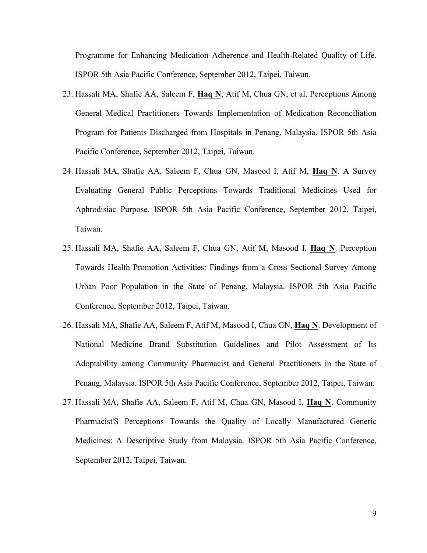Programme for Enhancing Medication Adherence and Health-Related Quality of Life. ISPOR 5th Asia Pacific Conference, September 2012, Taipei, Taiwan.

- 23. Hassali MA, Shafie AA, Saleem F, **Haq N**, Atif M, Chua GN, et al. Perceptions Among General Medical Practitioners Towards Implementation of Medication Reconciliation Program for Patients Discharged from Hospitals in Penang, Malaysia. ISPOR 5th Asia Pacific Conference, September 2012, Taipei, Taiwan.
- 24. Hassali MA, Shafie AA, Saleem F, Chua GN, Masood I, Atif M, **Haq N**. A Survey Evaluating General Public Perceptions Towards Traditional Medicines Used for Aphrodisiac Purpose. ISPOR 5th Asia Pacific Conference, September 2012, Taipei, Taiwan.
- 25. Hassali MA, Shafie AA, Saleem F, Chua GN, Atif M, Masood I, **Haq N**. Perception Towards Health Promotion Activities: Findings from a Cross Sectional Survey Among Urban Poor Population in the State of Penang, Malaysia. ISPOR 5th Asia Pacific Conference, September 2012, Taipei, Taiwan.
- 26. Hassali MA, Shafie AA, Saleem F, Atif M, Masood I, Chua GN, **Haq N**. Development of National Medicine Brand Substitution Guidelines and Pilot Assessment of Its Adoptability among Community Pharmacist and General Practitioners in the State of Penang, Malaysia. ISPOR 5th Asia Pacific Conference, September 2012, Taipei, Taiwan.
- 27. Hassali MA, Shafie AA, Saleem F, Atif M, Chua GN, Masood I, **Haq N**. Community Pharmacist'S Perceptions Towards the Quality of Locally Manufactured Generic Medicines: A Descriptive Study from Malaysia. ISPOR 5th Asia Pacific Conference, September 2012, Taipei, Taiwan.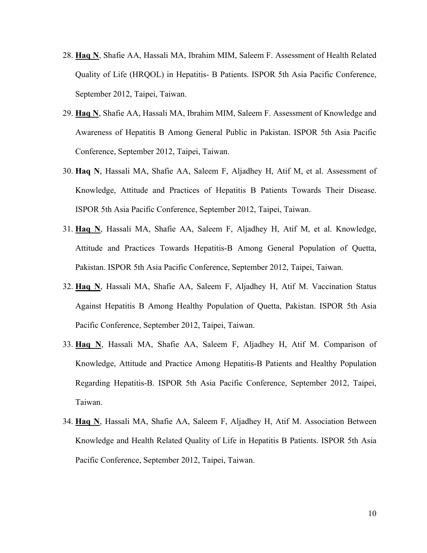- 28. **Haq N**, Shafie AA, Hassali MA, Ibrahim MIM, Saleem F. Assessment of Health Related Quality of Life (HRQOL) in Hepatitis- B Patients. ISPOR 5th Asia Pacific Conference, September 2012, Taipei, Taiwan.
- 29. **Haq N**, Shafie AA, Hassali MA, Ibrahim MIM, Saleem F. Assessment of Knowledge and Awareness of Hepatitis B Among General Public in Pakistan. ISPOR 5th Asia Pacific Conference, September 2012, Taipei, Taiwan.
- 30. **Haq N**, Hassali MA, Shafie AA, Saleem F, Aljadhey H, Atif M, et al. Assessment of Knowledge, Attitude and Practices of Hepatitis B Patients Towards Their Disease. ISPOR 5th Asia Pacific Conference, September 2012, Taipei, Taiwan.
- 31. **Haq N**, Hassali MA, Shafie AA, Saleem F, Aljadhey H, Atif M, et al. Knowledge, Attitude and Practices Towards Hepatitis-B Among General Population of Quetta, Pakistan. ISPOR 5th Asia Pacific Conference, September 2012, Taipei, Taiwan.
- 32. **Haq N**, Hassali MA, Shafie AA, Saleem F, Aljadhey H, Atif M. Vaccination Status Against Hepatitis B Among Healthy Population of Quetta, Pakistan. ISPOR 5th Asia Pacific Conference, September 2012, Taipei, Taiwan.
- 33. **Haq N**, Hassali MA, Shafie AA, Saleem F, Aljadhey H, Atif M. Comparison of Knowledge, Attitude and Practice Among Hepatitis-B Patients and Healthy Population Regarding Hepatitis-B. ISPOR 5th Asia Pacific Conference, September 2012, Taipei, Taiwan.
- 34. **Haq N**, Hassali MA, Shafie AA, Saleem F, Aljadhey H, Atif M. Association Between Knowledge and Health Related Quality of Life in Hepatitis B Patients. ISPOR 5th Asia Pacific Conference, September 2012, Taipei, Taiwan.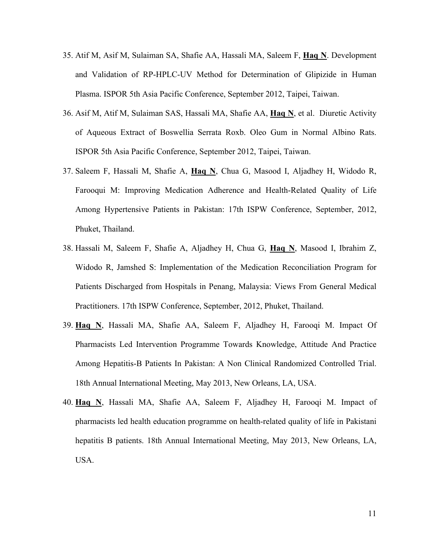- 35. Atif M, Asif M, Sulaiman SA, Shafie AA, Hassali MA, Saleem F, **Haq N**. Development and Validation of RP-HPLC-UV Method for Determination of Glipizide in Human Plasma. ISPOR 5th Asia Pacific Conference, September 2012, Taipei, Taiwan.
- 36. Asif M, Atif M, Sulaiman SAS, Hassali MA, Shafie AA, **Haq N**, et al. Diuretic Activity of Aqueous Extract of Boswellia Serrata Roxb. Oleo Gum in Normal Albino Rats. ISPOR 5th Asia Pacific Conference, September 2012, Taipei, Taiwan.
- 37. Saleem F, Hassali M, Shafie A, **Haq N**, Chua G, Masood I, Aljadhey H, Widodo R, Farooqui M: Improving Medication Adherence and Health-Related Quality of Life Among Hypertensive Patients in Pakistan: 17th ISPW Conference, September, 2012, Phuket, Thailand.
- 38. Hassali M, Saleem F, Shafie A, Aljadhey H, Chua G, **Haq N**, Masood I, Ibrahim Z, Widodo R, Jamshed S: Implementation of the Medication Reconciliation Program for Patients Discharged from Hospitals in Penang, Malaysia: Views From General Medical Practitioners. 17th ISPW Conference, September, 2012, Phuket, Thailand.
- 39. **Haq N**, Hassali MA, Shafie AA, Saleem F, Aljadhey H, Farooqi M. Impact Of Pharmacists Led Intervention Programme Towards Knowledge, Attitude And Practice Among Hepatitis-B Patients In Pakistan: A Non Clinical Randomized Controlled Trial. 18th Annual International Meeting, May 2013, New Orleans, LA, USA.
- 40. **Haq N**, Hassali MA, Shafie AA, Saleem F, Aljadhey H, Farooqi M. Impact of pharmacists led health education programme on health-related quality of life in Pakistani hepatitis B patients. 18th Annual International Meeting, May 2013, New Orleans, LA, USA.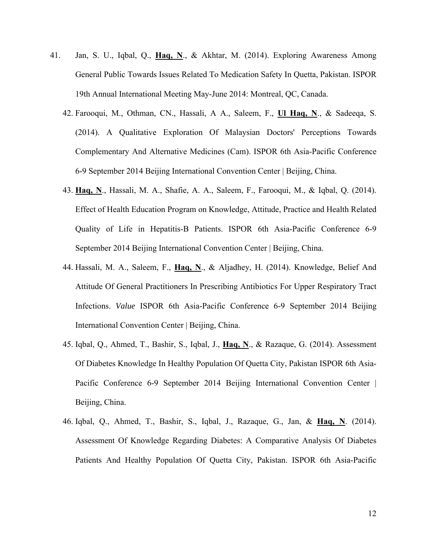- 41. Jan, S. U., Iqbal, Q., **Haq, N**., & Akhtar, M. (2014). Exploring Awareness Among General Public Towards Issues Related To Medication Safety In Quetta, Pakistan. ISPOR 19th Annual International Meeting May-June 2014: Montreal, QC, Canada.
	- 42. Farooqui, M., Othman, CN., Hassali, A A., Saleem, F., **Ul Haq, N**., & Sadeeqa, S. (2014). A Qualitative Exploration Of Malaysian Doctors' Perceptions Towards Complementary And Alternative Medicines (Cam). ISPOR 6th Asia-Pacific Conference 6-9 September 2014 Beijing International Convention Center | Beijing, China.
	- 43. **Haq, N**., Hassali, M. A., Shafie, A. A., Saleem, F., Farooqui, M., & Iqbal, Q. (2014). Effect of Health Education Program on Knowledge, Attitude, Practice and Health Related Quality of Life in Hepatitis-B Patients. ISPOR 6th Asia-Pacific Conference 6-9 September 2014 Beijing International Convention Center | Beijing, China.
	- 44. Hassali, M. A., Saleem, F., **Haq, N**., & Aljadhey, H. (2014). Knowledge, Belief And Attitude Of General Practitioners In Prescribing Antibiotics For Upper Respiratory Tract Infections. *Value* ISPOR 6th Asia-Pacific Conference 6-9 September 2014 Beijing International Convention Center | Beijing, China.
	- 45. Iqbal, Q., Ahmed, T., Bashir, S., Iqbal, J., **Haq, N**., & Razaque, G. (2014). Assessment Of Diabetes Knowledge In Healthy Population Of Quetta City, Pakistan ISPOR 6th Asia-Pacific Conference 6-9 September 2014 Beijing International Convention Center | Beijing, China.
	- 46. Iqbal, Q., Ahmed, T., Bashir, S., Iqbal, J., Razaque, G., Jan, & **Haq, N**. (2014). Assessment Of Knowledge Regarding Diabetes: A Comparative Analysis Of Diabetes Patients And Healthy Population Of Quetta City, Pakistan. ISPOR 6th Asia-Pacific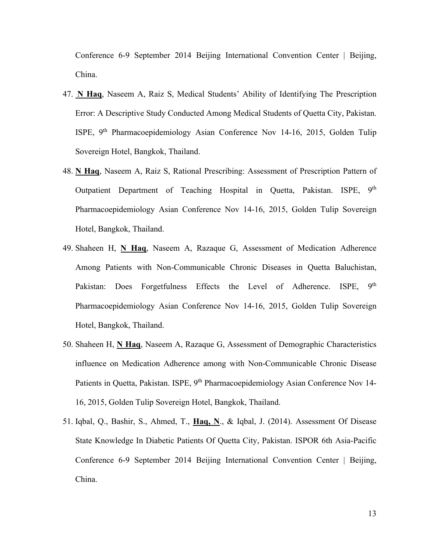Conference 6-9 September 2014 Beijing International Convention Center | Beijing, China.

- 47. **N Haq**, Naseem A, Raiz S, Medical Students' Ability of Identifying The Prescription Error: A Descriptive Study Conducted Among Medical Students of Quetta City, Pakistan. ISPE, 9th Pharmacoepidemiology Asian Conference Nov 14-16, 2015, Golden Tulip Sovereign Hotel, Bangkok, Thailand.
- 48. **N Haq**, Naseem A, Raiz S, Rational Prescribing: Assessment of Prescription Pattern of Outpatient Department of Teaching Hospital in Quetta, Pakistan. ISPE, 9<sup>th</sup> Pharmacoepidemiology Asian Conference Nov 14-16, 2015, Golden Tulip Sovereign Hotel, Bangkok, Thailand.
- 49. Shaheen H, **N Haq**, Naseem A, Razaque G, Assessment of Medication Adherence Among Patients with Non-Communicable Chronic Diseases in Quetta Baluchistan, Pakistan: Does Forgetfulness Effects the Level of Adherence. ISPE, 9<sup>th</sup> Pharmacoepidemiology Asian Conference Nov 14-16, 2015, Golden Tulip Sovereign Hotel, Bangkok, Thailand.
- 50. Shaheen H, **N Haq**, Naseem A, Razaque G, Assessment of Demographic Characteristics influence on Medication Adherence among with Non-Communicable Chronic Disease Patients in Quetta, Pakistan. ISPE, 9<sup>th</sup> Pharmacoepidemiology Asian Conference Nov 14-16, 2015, Golden Tulip Sovereign Hotel, Bangkok, Thailand.
- 51. Iqbal, Q., Bashir, S., Ahmed, T., **Haq, N**., & Iqbal, J. (2014). Assessment Of Disease State Knowledge In Diabetic Patients Of Quetta City, Pakistan. ISPOR 6th Asia-Pacific Conference 6-9 September 2014 Beijing International Convention Center | Beijing, China.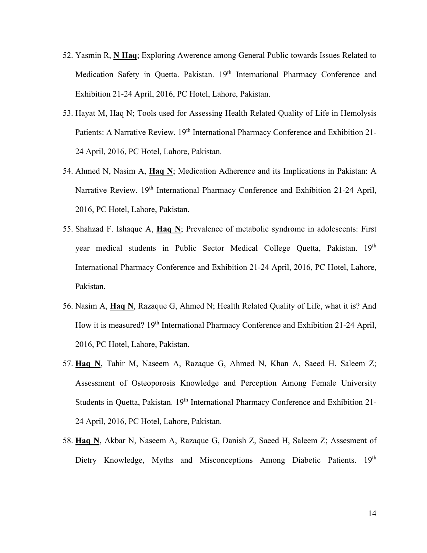- 52. Yasmin R, **N Haq**; Exploring Awerence among General Public towards Issues Related to Medication Safety in Quetta. Pakistan. 19<sup>th</sup> International Pharmacy Conference and Exhibition 21-24 April, 2016, PC Hotel, Lahore, Pakistan.
- 53. Hayat M, Haq N; Tools used for Assessing Health Related Quality of Life in Hemolysis Patients: A Narrative Review. 19<sup>th</sup> International Pharmacy Conference and Exhibition 21-24 April, 2016, PC Hotel, Lahore, Pakistan.
- 54. Ahmed N, Nasim A, **Haq N**; Medication Adherence and its Implications in Pakistan: A Narrative Review. 19<sup>th</sup> International Pharmacy Conference and Exhibition 21-24 April, 2016, PC Hotel, Lahore, Pakistan.
- 55. Shahzad F. Ishaque A, **Haq N**; Prevalence of metabolic syndrome in adolescents: First year medical students in Public Sector Medical College Quetta, Pakistan. 19th International Pharmacy Conference and Exhibition 21-24 April, 2016, PC Hotel, Lahore, Pakistan.
- 56. Nasim A, **Haq N**, Razaque G, Ahmed N; Health Related Quality of Life, what it is? And How it is measured? 19<sup>th</sup> International Pharmacy Conference and Exhibition 21-24 April, 2016, PC Hotel, Lahore, Pakistan.
- 57. **Haq N**, Tahir M, Naseem A, Razaque G, Ahmed N, Khan A, Saeed H, Saleem Z; Assessment of Osteoporosis Knowledge and Perception Among Female University Students in Quetta, Pakistan. 19<sup>th</sup> International Pharmacy Conference and Exhibition 21-24 April, 2016, PC Hotel, Lahore, Pakistan.
- 58. **Haq N**, Akbar N, Naseem A, Razaque G, Danish Z, Saeed H, Saleem Z; Assesment of Dietry Knowledge, Myths and Misconceptions Among Diabetic Patients. 19th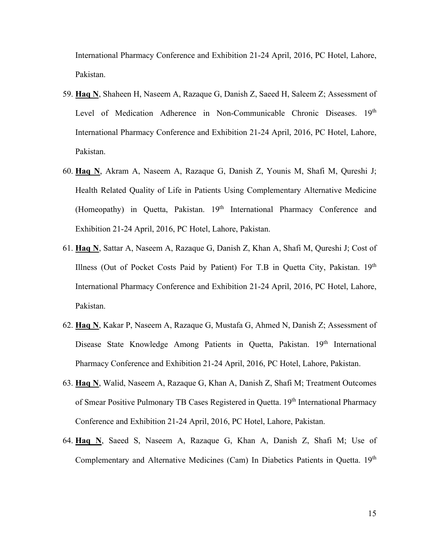International Pharmacy Conference and Exhibition 21-24 April, 2016, PC Hotel, Lahore, Pakistan.

- 59. **Haq N**, Shaheen H, Naseem A, Razaque G, Danish Z, Saeed H, Saleem Z; Assessment of Level of Medication Adherence in Non-Communicable Chronic Diseases. 19th International Pharmacy Conference and Exhibition 21-24 April, 2016, PC Hotel, Lahore, Pakistan.
- 60. **Haq N**, Akram A, Naseem A, Razaque G, Danish Z, Younis M, Shafi M, Qureshi J; Health Related Quality of Life in Patients Using Complementary Alternative Medicine (Homeopathy) in Quetta, Pakistan. 19<sup>th</sup> International Pharmacy Conference and Exhibition 21-24 April, 2016, PC Hotel, Lahore, Pakistan.
- 61. **Haq N**, Sattar A, Naseem A, Razaque G, Danish Z, Khan A, Shafi M, Qureshi J; Cost of Illness (Out of Pocket Costs Paid by Patient) For T.B in Quetta City, Pakistan.  $19<sup>th</sup>$ International Pharmacy Conference and Exhibition 21-24 April, 2016, PC Hotel, Lahore, Pakistan.
- 62. **Haq N**, Kakar P, Naseem A, Razaque G, Mustafa G, Ahmed N, Danish Z; Assessment of Disease State Knowledge Among Patients in Quetta, Pakistan. 19<sup>th</sup> International Pharmacy Conference and Exhibition 21-24 April, 2016, PC Hotel, Lahore, Pakistan.
- 63. **Haq N**, Walid, Naseem A, Razaque G, Khan A, Danish Z, Shafi M; Treatment Outcomes of Smear Positive Pulmonary TB Cases Registered in Ouetta. 19<sup>th</sup> International Pharmacy Conference and Exhibition 21-24 April, 2016, PC Hotel, Lahore, Pakistan.
- 64. **Haq N**, Saeed S, Naseem A, Razaque G, Khan A, Danish Z, Shafi M; Use of Complementary and Alternative Medicines (Cam) In Diabetics Patients in Quetta. 19th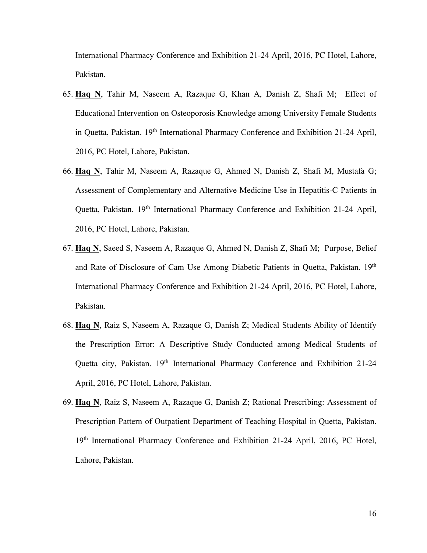International Pharmacy Conference and Exhibition 21-24 April, 2016, PC Hotel, Lahore, Pakistan.

- 65. **Haq N**, Tahir M, Naseem A, Razaque G, Khan A, Danish Z, Shafi M; Effect of Educational Intervention on Osteoporosis Knowledge among University Female Students in Quetta, Pakistan. 19<sup>th</sup> International Pharmacy Conference and Exhibition 21-24 April, 2016, PC Hotel, Lahore, Pakistan.
- 66. **Haq N**, Tahir M, Naseem A, Razaque G, Ahmed N, Danish Z, Shafi M, Mustafa G; Assessment of Complementary and Alternative Medicine Use in Hepatitis-C Patients in Quetta, Pakistan. 19th International Pharmacy Conference and Exhibition 21-24 April, 2016, PC Hotel, Lahore, Pakistan.
- 67. **Haq N**, Saeed S, Naseem A, Razaque G, Ahmed N, Danish Z, Shafi M; Purpose, Belief and Rate of Disclosure of Cam Use Among Diabetic Patients in Quetta, Pakistan. 19<sup>th</sup> International Pharmacy Conference and Exhibition 21-24 April, 2016, PC Hotel, Lahore, Pakistan.
- 68. **Haq N**, Raiz S, Naseem A, Razaque G, Danish Z; Medical Students Ability of Identify the Prescription Error: A Descriptive Study Conducted among Medical Students of Quetta city, Pakistan. 19<sup>th</sup> International Pharmacy Conference and Exhibition 21-24 April, 2016, PC Hotel, Lahore, Pakistan.
- 69. **Haq N**, Raiz S, Naseem A, Razaque G, Danish Z; Rational Prescribing: Assessment of Prescription Pattern of Outpatient Department of Teaching Hospital in Quetta, Pakistan. 19<sup>th</sup> International Pharmacy Conference and Exhibition 21-24 April, 2016, PC Hotel, Lahore, Pakistan.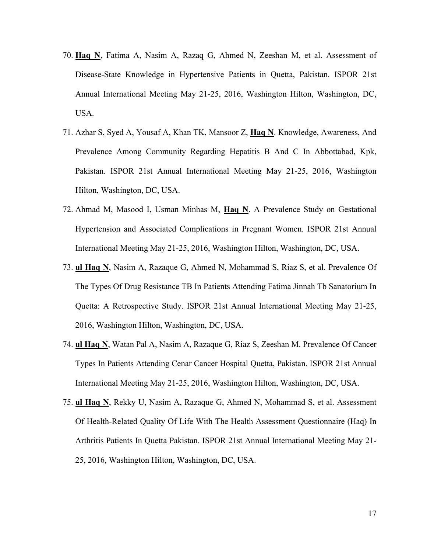- 70. **Haq N**, Fatima A, Nasim A, Razaq G, Ahmed N, Zeeshan M, et al. Assessment of Disease-State Knowledge in Hypertensive Patients in Quetta, Pakistan. ISPOR 21st Annual International Meeting May 21-25, 2016, Washington Hilton, Washington, DC, USA.
- 71. Azhar S, Syed A, Yousaf A, Khan TK, Mansoor Z, **Haq N**. Knowledge, Awareness, And Prevalence Among Community Regarding Hepatitis B And C In Abbottabad, Kpk, Pakistan. ISPOR 21st Annual International Meeting May 21-25, 2016, Washington Hilton, Washington, DC, USA.
- 72. Ahmad M, Masood I, Usman Minhas M, **Haq N**. A Prevalence Study on Gestational Hypertension and Associated Complications in Pregnant Women. ISPOR 21st Annual International Meeting May 21-25, 2016, Washington Hilton, Washington, DC, USA.
- 73. **ul Haq N**, Nasim A, Razaque G, Ahmed N, Mohammad S, Riaz S, et al. Prevalence Of The Types Of Drug Resistance TB In Patients Attending Fatima Jinnah Tb Sanatorium In Quetta: A Retrospective Study. ISPOR 21st Annual International Meeting May 21-25, 2016, Washington Hilton, Washington, DC, USA.
- 74. **ul Haq N**, Watan Pal A, Nasim A, Razaque G, Riaz S, Zeeshan M. Prevalence Of Cancer Types In Patients Attending Cenar Cancer Hospital Quetta, Pakistan. ISPOR 21st Annual International Meeting May 21-25, 2016, Washington Hilton, Washington, DC, USA.
- 75. **ul Haq N**, Rekky U, Nasim A, Razaque G, Ahmed N, Mohammad S, et al. Assessment Of Health-Related Quality Of Life With The Health Assessment Questionnaire (Haq) In Arthritis Patients In Quetta Pakistan. ISPOR 21st Annual International Meeting May 21- 25, 2016, Washington Hilton, Washington, DC, USA.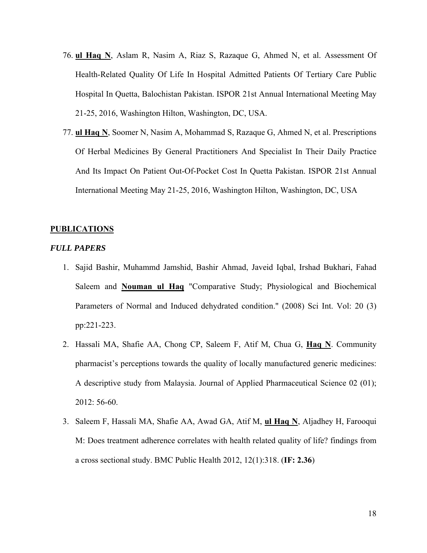- 76. **ul Haq N**, Aslam R, Nasim A, Riaz S, Razaque G, Ahmed N, et al. Assessment Of Health-Related Quality Of Life In Hospital Admitted Patients Of Tertiary Care Public Hospital In Quetta, Balochistan Pakistan. ISPOR 21st Annual International Meeting May 21-25, 2016, Washington Hilton, Washington, DC, USA.
- 77. **ul Haq N**, Soomer N, Nasim A, Mohammad S, Razaque G, Ahmed N, et al. Prescriptions Of Herbal Medicines By General Practitioners And Specialist In Their Daily Practice And Its Impact On Patient Out-Of-Pocket Cost In Quetta Pakistan. ISPOR 21st Annual International Meeting May 21-25, 2016, Washington Hilton, Washington, DC, USA

#### **PUBLICATIONS**

#### *FULL PAPERS*

- 1. Sajid Bashir, Muhammd Jamshid, Bashir Ahmad, Javeid Iqbal, Irshad Bukhari, Fahad Saleem and **Nouman ul Haq** "Comparative Study; Physiological and Biochemical Parameters of Normal and Induced dehydrated condition." (2008) Sci Int. Vol: 20 (3) pp:221-223.
- 2. Hassali MA, Shafie AA, Chong CP, Saleem F, Atif M, Chua G, **Haq N**. Community pharmacist's perceptions towards the quality of locally manufactured generic medicines: A descriptive study from Malaysia. Journal of Applied Pharmaceutical Science 02 (01); 2012: 56-60.
- 3. Saleem F, Hassali MA, Shafie AA, Awad GA, Atif M, **ul Haq N**, Aljadhey H, Farooqui M: Does treatment adherence correlates with health related quality of life? findings from a cross sectional study. BMC Public Health 2012, 12(1):318. (**IF: 2.36**)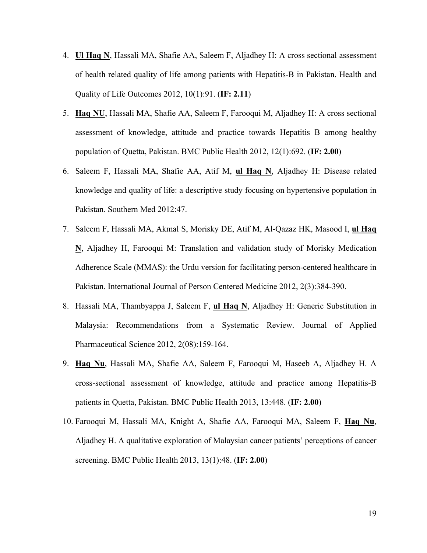- 4. **Ul Haq N**, Hassali MA, Shafie AA, Saleem F, Aljadhey H: A cross sectional assessment of health related quality of life among patients with Hepatitis-B in Pakistan. Health and Quality of Life Outcomes 2012, 10(1):91. (**IF: 2.11**)
- 5. **Haq NU**, Hassali MA, Shafie AA, Saleem F, Farooqui M, Aljadhey H: A cross sectional assessment of knowledge, attitude and practice towards Hepatitis B among healthy population of Quetta, Pakistan. BMC Public Health 2012, 12(1):692. (**IF: 2.00**)
- 6. Saleem F, Hassali MA, Shafie AA, Atif M, **ul Haq N**, Aljadhey H: Disease related knowledge and quality of life: a descriptive study focusing on hypertensive population in Pakistan. Southern Med 2012:47.
- 7. Saleem F, Hassali MA, Akmal S, Morisky DE, Atif M, Al-Qazaz HK, Masood I, **ul Haq N**, Aljadhey H, Farooqui M: Translation and validation study of Morisky Medication Adherence Scale (MMAS): the Urdu version for facilitating person-centered healthcare in Pakistan. International Journal of Person Centered Medicine 2012, 2(3):384-390.
- 8. Hassali MA, Thambyappa J, Saleem F, **ul Haq N**, Aljadhey H: Generic Substitution in Malaysia: Recommendations from a Systematic Review. Journal of Applied Pharmaceutical Science 2012, 2(08):159-164.
- 9. **Haq Nu**, Hassali MA, Shafie AA, Saleem F, Farooqui M, Haseeb A, Aljadhey H. A cross-sectional assessment of knowledge, attitude and practice among Hepatitis-B patients in Quetta, Pakistan. BMC Public Health 2013, 13:448. (**IF: 2.00**)
- 10. Farooqui M, Hassali MA, Knight A, Shafie AA, Farooqui MA, Saleem F, **Haq Nu**, Aljadhey H. A qualitative exploration of Malaysian cancer patients' perceptions of cancer screening. BMC Public Health 2013, 13(1):48. (**IF: 2.00**)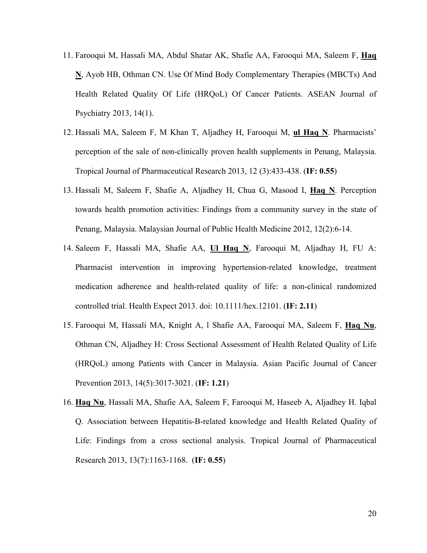- 11. Farooqui M, Hassali MA, Abdul Shatar AK, Shafie AA, Farooqui MA, Saleem F, **Haq N**, Ayob HB, Othman CN. Use Of Mind Body Complementary Therapies (MBCTs) And Health Related Quality Of Life (HRQoL) Of Cancer Patients. ASEAN Journal of Psychiatry 2013, 14(1).
- 12. Hassali MA, Saleem F, M Khan T, Aljadhey H, Farooqui M, **ul Haq N**. Pharmacists' perception of the sale of non-clinically proven health supplements in Penang, Malaysia. Tropical Journal of Pharmaceutical Research 2013, 12 (3):433-438. (**IF: 0.55**)
- 13. Hassali M, Saleem F, Shafie A, Aljadhey H, Chua G, Masood I, **Haq N**. Perception towards health promotion activities: Findings from a community survey in the state of Penang, Malaysia. Malaysian Journal of Public Health Medicine 2012, 12(2):6-14.
- 14. Saleem F, Hassali MA, Shafie AA, **Ul Haq N**, Farooqui M, Aljadhay H, FU A: Pharmacist intervention in improving hypertension-related knowledge, treatment medication adherence and health-related quality of life: a non-clinical randomized controlled trial. Health Expect 2013. doi: 10.1111/hex.12101. (**IF: 2.11**)
- 15. Farooqui M, Hassali MA, Knight A, l Shafie AA, Farooqui MA, Saleem F, **Haq Nu**, Othman CN, Aljadhey H: Cross Sectional Assessment of Health Related Quality of Life (HRQoL) among Patients with Cancer in Malaysia. Asian Pacific Journal of Cancer Prevention 2013, 14(5):3017-3021. (**IF: 1.21**)
- 16. **Haq Nu**, Hassali MA, Shafie AA, Saleem F, Farooqui M, Haseeb A, Aljadhey H. Iqbal Q. Association between Hepatitis-B-related knowledge and Health Related Quality of Life: Findings from a cross sectional analysis. Tropical Journal of Pharmaceutical Research 2013, 13(7):1163-1168. (**IF: 0.55**)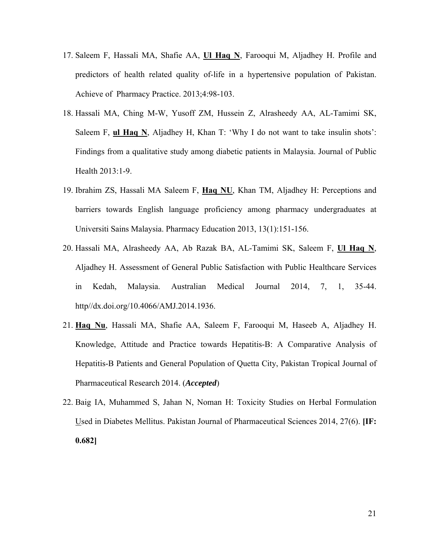- 17. Saleem F, Hassali MA, Shafie AA, **Ul Haq N**, Farooqui M, Aljadhey H. Profile and predictors of health related quality of-life in a hypertensive population of Pakistan. Achieve of Pharmacy Practice. 2013;4:98-103.
- 18. Hassali MA, Ching M-W, Yusoff ZM, Hussein Z, Alrasheedy AA, AL-Tamimi SK, Saleem F, **ul Haq N**, Aljadhey H, Khan T: 'Why I do not want to take insulin shots': Findings from a qualitative study among diabetic patients in Malaysia. Journal of Public Health 2013:1-9.
- 19. Ibrahim ZS, Hassali MA Saleem F, **Haq NU**, Khan TM, Aljadhey H: Perceptions and barriers towards English language proficiency among pharmacy undergraduates at Universiti Sains Malaysia. Pharmacy Education 2013, 13(1):151-156.
- 20. Hassali MA, Alrasheedy AA, Ab Razak BA, AL-Tamimi SK, Saleem F, **Ul Haq N**, Aljadhey H. Assessment of General Public Satisfaction with Public Healthcare Services in Kedah, Malaysia. Australian Medical Journal 2014, 7, 1, 35-44. http//dx.doi.org/10.4066/AMJ.2014.1936.
- 21. **Haq Nu**, Hassali MA, Shafie AA, Saleem F, Farooqui M, Haseeb A, Aljadhey H. Knowledge, Attitude and Practice towards Hepatitis-B: A Comparative Analysis of Hepatitis-B Patients and General Population of Quetta City, Pakistan Tropical Journal of Pharmaceutical Research 2014. (*Accepted*)
- 22. Baig IA, Muhammed S, Jahan N, Noman H: Toxicity Studies on Herbal Formulation Used in Diabetes Mellitus. Pakistan Journal of Pharmaceutical Sciences 2014, 27(6). **[IF: 0.682]**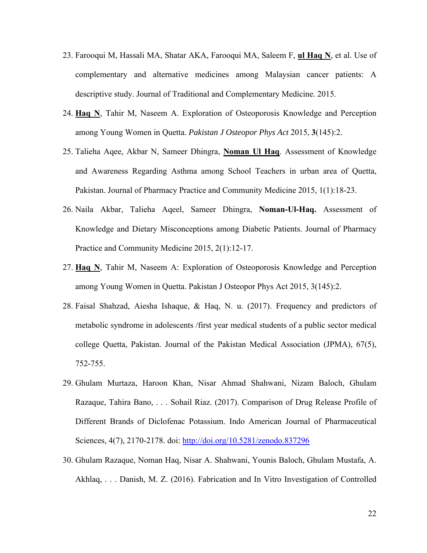- 23. Farooqui M, Hassali MA, Shatar AKA, Farooqui MA, Saleem F, **ul Haq N**, et al. Use of complementary and alternative medicines among Malaysian cancer patients: A descriptive study. Journal of Traditional and Complementary Medicine. 2015.
- 24. **Haq N**, Tahir M, Naseem A. Exploration of Osteoporosis Knowledge and Perception among Young Women in Quetta. *Pakistan J Osteopor Phys Act* 2015, **3**(145):2.
- 25. Talieha Aqee, Akbar N, Sameer Dhingra, **Noman Ul Haq**. Assessment of Knowledge and Awareness Regarding Asthma among School Teachers in urban area of Quetta, Pakistan. Journal of Pharmacy Practice and Community Medicine 2015, 1(1):18-23.
- 26. Naila Akbar, Talieha Aqeel, Sameer Dhingra, **Noman-Ul-Haq.** Assessment of Knowledge and Dietary Misconceptions among Diabetic Patients. Journal of Pharmacy Practice and Community Medicine 2015, 2(1):12-17.
- 27. **Haq N**, Tahir M, Naseem A: Exploration of Osteoporosis Knowledge and Perception among Young Women in Quetta. Pakistan J Osteopor Phys Act 2015, 3(145):2.
- 28. Faisal Shahzad, Aiesha Ishaque, & Haq, N. u. (2017). Frequency and predictors of metabolic syndrome in adolescents /first year medical students of a public sector medical college Quetta, Pakistan. Journal of the Pakistan Medical Association (JPMA), 67(5), 752-755.
- 29. Ghulam Murtaza, Haroon Khan, Nisar Ahmad Shahwani, Nizam Baloch, Ghulam Razaque, Tahira Bano, . . . Sohail Riaz. (2017). Comparison of Drug Release Profile of Different Brands of Diclofenac Potassium. Indo American Journal of Pharmaceutical Sciences, 4(7), 2170-2178. doi: http://doi.org/10.5281/zenodo.837296
- 30. Ghulam Razaque, Noman Haq, Nisar A. Shahwani, Younis Baloch, Ghulam Mustafa, A. Akhlaq, . . . Danish, M. Z. (2016). Fabrication and In Vitro Investigation of Controlled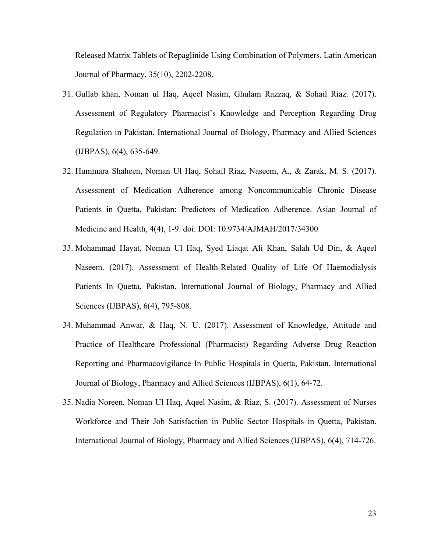Released Matrix Tablets of Repaglinide Using Combination of Polymers. Latin American Journal of Pharmacy, 35(10), 2202-2208.

- 31. Gullab khan, Noman ul Haq, Aqeel Nasim, Ghulam Razzaq, & Sohail Riaz. (2017). Assessment of Regulatory Pharmacist's Knowledge and Perception Regarding Drug Regulation in Pakistan. International Journal of Biology, Pharmacy and Allied Sciences (IJBPAS), 6(4), 635-649.
- 32. Hummara Shaheen, Noman Ul Haq, Sohail Riaz, Naseem, A., & Zarak, M. S. (2017). Assessment of Medication Adherence among Noncommunicable Chronic Disease Patients in Quetta, Pakistan: Predictors of Medication Adherence. Asian Journal of Medicine and Health, 4(4), 1-9. doi: DOI: 10.9734/AJMAH/2017/34300
- 33. Mohammad Hayat, Noman Ul Haq, Syed Liaqat Ali Khan, Salah Ud Din, & Aqeel Naseem. (2017). Assessment of Health-Related Quality of Life Of Haemodialysis Patients In Quetta, Pakistan. International Journal of Biology, Pharmacy and Allied Sciences (IJBPAS), 6(4), 795-808.
- 34. Muhammad Anwar, & Haq, N. U. (2017). Assessment of Knowledge, Attitude and Practice of Healthcare Professional (Pharmacist) Regarding Adverse Drug Reaction Reporting and Pharmacovigilance In Public Hospitals in Quetta, Pakistan. International Journal of Biology, Pharmacy and Allied Sciences (IJBPAS), 6(1), 64-72.
- 35. Nadia Noreen, Noman Ul Haq, Aqeel Nasim, & Riaz, S. (2017). Assessment of Nurses Workforce and Their Job Satisfaction in Public Sector Hospitals in Quetta, Pakistan. International Journal of Biology, Pharmacy and Allied Sciences (IJBPAS), 6(4), 714-726.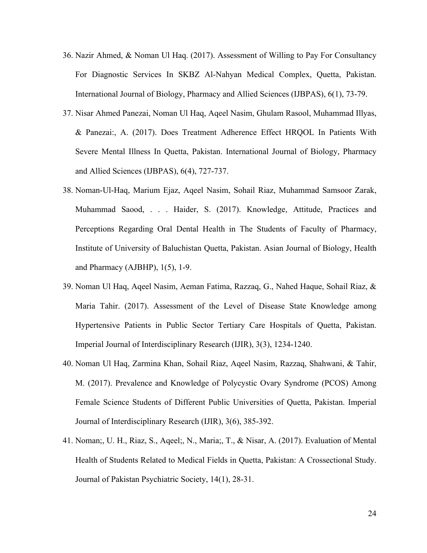- 36. Nazir Ahmed, & Noman Ul Haq. (2017). Assessment of Willing to Pay For Consultancy For Diagnostic Services In SKBZ Al-Nahyan Medical Complex, Quetta, Pakistan. International Journal of Biology, Pharmacy and Allied Sciences (IJBPAS), 6(1), 73-79.
- 37. Nisar Ahmed Panezai, Noman Ul Haq, Aqeel Nasim, Ghulam Rasool, Muhammad Illyas, & Panezai:, A. (2017). Does Treatment Adherence Effect HRQOL In Patients With Severe Mental Illness In Quetta, Pakistan. International Journal of Biology, Pharmacy and Allied Sciences (IJBPAS), 6(4), 727-737.
- 38. Noman-Ul-Haq, Marium Ejaz, Aqeel Nasim, Sohail Riaz, Muhammad Samsoor Zarak, Muhammad Saood, . . . Haider, S. (2017). Knowledge, Attitude, Practices and Perceptions Regarding Oral Dental Health in The Students of Faculty of Pharmacy, Institute of University of Baluchistan Quetta, Pakistan. Asian Journal of Biology, Health and Pharmacy (AJBHP), 1(5), 1-9.
- 39. Noman Ul Haq, Aqeel Nasim, Aeman Fatima, Razzaq, G., Nahed Haque, Sohail Riaz, & Maria Tahir. (2017). Assessment of the Level of Disease State Knowledge among Hypertensive Patients in Public Sector Tertiary Care Hospitals of Quetta, Pakistan. Imperial Journal of Interdisciplinary Research (IJIR), 3(3), 1234-1240.
- 40. Noman Ul Haq, Zarmina Khan, Sohail Riaz, Aqeel Nasim, Razzaq, Shahwani, & Tahir, M. (2017). Prevalence and Knowledge of Polycystic Ovary Syndrome (PCOS) Among Female Science Students of Different Public Universities of Quetta, Pakistan. Imperial Journal of Interdisciplinary Research (IJIR), 3(6), 385-392.
- 41. Noman;, U. H., Riaz, S., Aqeel;, N., Maria;, T., & Nisar, A. (2017). Evaluation of Mental Health of Students Related to Medical Fields in Quetta, Pakistan: A Crossectional Study. Journal of Pakistan Psychiatric Society, 14(1), 28-31.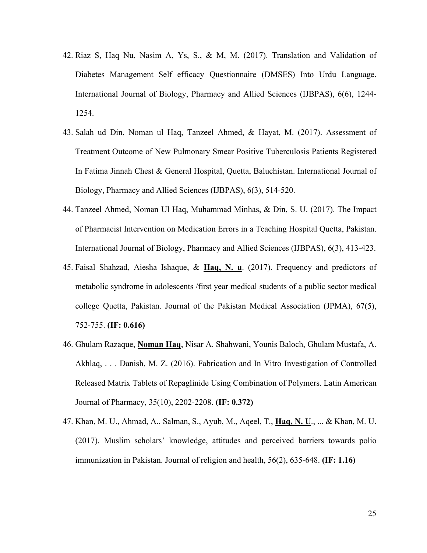- 42. Riaz S, Haq Nu, Nasim A, Ys, S., & M, M. (2017). Translation and Validation of Diabetes Management Self efficacy Questionnaire (DMSES) Into Urdu Language. International Journal of Biology, Pharmacy and Allied Sciences (IJBPAS), 6(6), 1244- 1254.
- 43. Salah ud Din, Noman ul Haq, Tanzeel Ahmed, & Hayat, M. (2017). Assessment of Treatment Outcome of New Pulmonary Smear Positive Tuberculosis Patients Registered In Fatima Jinnah Chest & General Hospital, Quetta, Baluchistan. International Journal of Biology, Pharmacy and Allied Sciences (IJBPAS), 6(3), 514-520.
- 44. Tanzeel Ahmed, Noman Ul Haq, Muhammad Minhas, & Din, S. U. (2017). The Impact of Pharmacist Intervention on Medication Errors in a Teaching Hospital Quetta, Pakistan. International Journal of Biology, Pharmacy and Allied Sciences (IJBPAS), 6(3), 413-423.
- 45. Faisal Shahzad, Aiesha Ishaque, & **Haq, N. u**. (2017). Frequency and predictors of metabolic syndrome in adolescents /first year medical students of a public sector medical college Quetta, Pakistan. Journal of the Pakistan Medical Association (JPMA), 67(5), 752-755. **(IF: 0.616)**
- 46. Ghulam Razaque, **Noman Haq**, Nisar A. Shahwani, Younis Baloch, Ghulam Mustafa, A. Akhlaq, . . . Danish, M. Z. (2016). Fabrication and In Vitro Investigation of Controlled Released Matrix Tablets of Repaglinide Using Combination of Polymers. Latin American Journal of Pharmacy, 35(10), 2202-2208. **(IF: 0.372)**
- 47. Khan, M. U., Ahmad, A., Salman, S., Ayub, M., Aqeel, T., **Haq, N. U**., ... & Khan, M. U. (2017). Muslim scholars' knowledge, attitudes and perceived barriers towards polio immunization in Pakistan. Journal of religion and health, 56(2), 635-648. **(IF: 1.16)**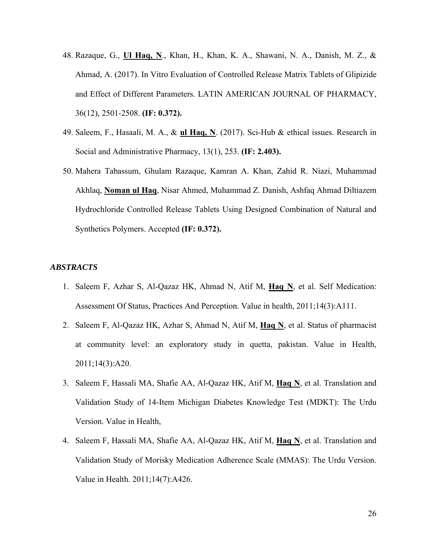- 48. Razaque, G., **Ul Haq, N**., Khan, H., Khan, K. A., Shawani, N. A., Danish, M. Z., & Ahmad, A. (2017). In Vitro Evaluation of Controlled Release Matrix Tablets of Glipizide and Effect of Different Parameters. LATIN AMERICAN JOURNAL OF PHARMACY, 36(12), 2501-2508. **(IF: 0.372).**
- 49. Saleem, F., Hasaali, M. A., & **ul Haq, N**. (2017). Sci-Hub & ethical issues. Research in Social and Administrative Pharmacy, 13(1), 253. **(IF: 2.403).**
- 50. Mahera Tabassum, Ghulam Razaque, Kamran A. Khan, Zahid R. Niazi, Muhammad Akhlaq, **Noman ul Haq**, Nisar Ahmed, Muhammad Z. Danish, Ashfaq Ahmad Diltiazem Hydrochloride Controlled Release Tablets Using Designed Combination of Natural and Synthetics Polymers. Accepted **(IF: 0.372).**

#### *ABSTRACTS*

- 1. Saleem F, Azhar S, Al-Qazaz HK, Ahmad N, Atif M, **Haq N**, et al. Self Medication: Assessment Of Status, Practices And Perception. Value in health, 2011;14(3):A111.
- 2. Saleem F, Al-Qazaz HK, Azhar S, Ahmad N, Atif M, **Haq N**, et al. Status of pharmacist at community level: an exploratory study in quetta, pakistan. Value in Health, 2011;14(3):A20.
- 3. Saleem F, Hassali MA, Shafie AA, Al-Qazaz HK, Atif M, **Haq N**, et al. Translation and Validation Study of 14-Item Michigan Diabetes Knowledge Test (MDKT): The Urdu Version. Value in Health,
- 4. Saleem F, Hassali MA, Shafie AA, Al-Qazaz HK, Atif M, **Haq N**, et al. Translation and Validation Study of Morisky Medication Adherence Scale (MMAS): The Urdu Version. Value in Health. 2011;14(7):A426.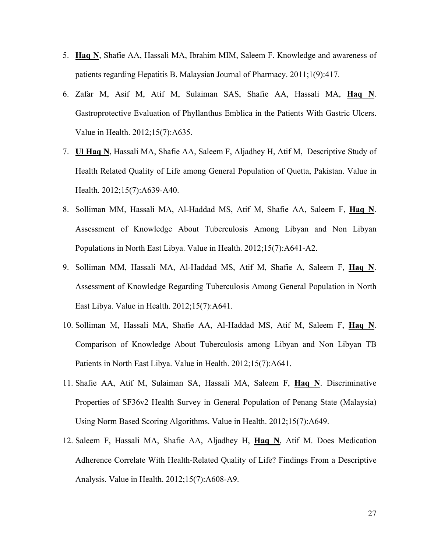- 5. **Haq N**, Shafie AA, Hassali MA, Ibrahim MIM, Saleem F. Knowledge and awareness of patients regarding Hepatitis B. Malaysian Journal of Pharmacy. 2011;1(9):417.
- 6. Zafar M, Asif M, Atif M, Sulaiman SAS, Shafie AA, Hassali MA, **Haq N**. Gastroprotective Evaluation of Phyllanthus Emblica in the Patients With Gastric Ulcers. Value in Health. 2012;15(7):A635.
- 7. **Ul Haq N**, Hassali MA, Shafie AA, Saleem F, Aljadhey H, Atif M, Descriptive Study of Health Related Quality of Life among General Population of Quetta, Pakistan. Value in Health. 2012;15(7):A639-A40.
- 8. Solliman MM, Hassali MA, Al-Haddad MS, Atif M, Shafie AA, Saleem F, **Haq N**. Assessment of Knowledge About Tuberculosis Among Libyan and Non Libyan Populations in North East Libya. Value in Health. 2012;15(7):A641-A2.
- 9. Solliman MM, Hassali MA, Al-Haddad MS, Atif M, Shafie A, Saleem F, **Haq N**. Assessment of Knowledge Regarding Tuberculosis Among General Population in North East Libya. Value in Health. 2012;15(7):A641.
- 10. Solliman M, Hassali MA, Shafie AA, Al-Haddad MS, Atif M, Saleem F, **Haq N**. Comparison of Knowledge About Tuberculosis among Libyan and Non Libyan TB Patients in North East Libya. Value in Health. 2012;15(7):A641.
- 11. Shafie AA, Atif M, Sulaiman SA, Hassali MA, Saleem F, **Haq N**. Discriminative Properties of SF36v2 Health Survey in General Population of Penang State (Malaysia) Using Norm Based Scoring Algorithms. Value in Health. 2012;15(7):A649.
- 12. Saleem F, Hassali MA, Shafie AA, Aljadhey H, **Haq N**, Atif M. Does Medication Adherence Correlate With Health-Related Quality of Life? Findings From a Descriptive Analysis. Value in Health. 2012;15(7):A608-A9.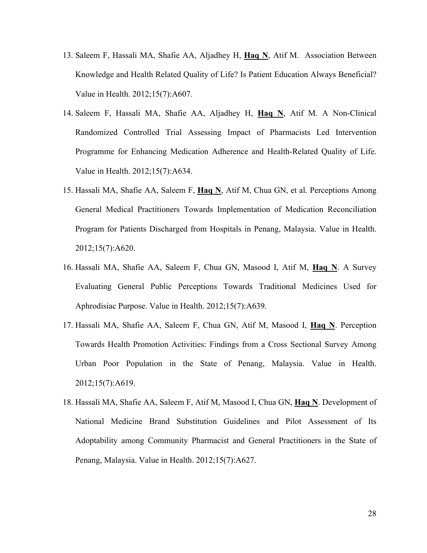- 13. Saleem F, Hassali MA, Shafie AA, Aljadhey H, **Haq N**, Atif M. Association Between Knowledge and Health Related Quality of Life? Is Patient Education Always Beneficial? Value in Health. 2012;15(7):A607.
- 14. Saleem F, Hassali MA, Shafie AA, Aljadhey H, **Haq N**, Atif M. A Non-Clinical Randomized Controlled Trial Assessing Impact of Pharmacists Led Intervention Programme for Enhancing Medication Adherence and Health-Related Quality of Life. Value in Health. 2012;15(7):A634.
- 15. Hassali MA, Shafie AA, Saleem F, **Haq N**, Atif M, Chua GN, et al. Perceptions Among General Medical Practitioners Towards Implementation of Medication Reconciliation Program for Patients Discharged from Hospitals in Penang, Malaysia. Value in Health. 2012;15(7):A620.
- 16. Hassali MA, Shafie AA, Saleem F, Chua GN, Masood I, Atif M, **Haq N**. A Survey Evaluating General Public Perceptions Towards Traditional Medicines Used for Aphrodisiac Purpose. Value in Health. 2012;15(7):A639.
- 17. Hassali MA, Shafie AA, Saleem F, Chua GN, Atif M, Masood I, **Haq N**. Perception Towards Health Promotion Activities: Findings from a Cross Sectional Survey Among Urban Poor Population in the State of Penang, Malaysia. Value in Health. 2012;15(7):A619.
- 18. Hassali MA, Shafie AA, Saleem F, Atif M, Masood I, Chua GN, **Haq N**. Development of National Medicine Brand Substitution Guidelines and Pilot Assessment of Its Adoptability among Community Pharmacist and General Practitioners in the State of Penang, Malaysia. Value in Health. 2012;15(7):A627.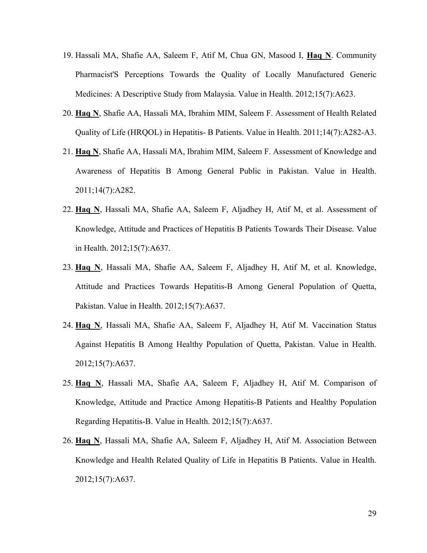- 19. Hassali MA, Shafie AA, Saleem F, Atif M, Chua GN, Masood I, **Haq N**. Community Pharmacist'S Perceptions Towards the Quality of Locally Manufactured Generic Medicines: A Descriptive Study from Malaysia. Value in Health. 2012;15(7):A623.
- 20. **Haq N**, Shafie AA, Hassali MA, Ibrahim MIM, Saleem F. Assessment of Health Related Quality of Life (HRQOL) in Hepatitis- B Patients. Value in Health. 2011;14(7):A282-A3.
- 21. **Haq N**, Shafie AA, Hassali MA, Ibrahim MIM, Saleem F. Assessment of Knowledge and Awareness of Hepatitis B Among General Public in Pakistan. Value in Health. 2011;14(7):A282.
- 22. **Haq N**, Hassali MA, Shafie AA, Saleem F, Aljadhey H, Atif M, et al. Assessment of Knowledge, Attitude and Practices of Hepatitis B Patients Towards Their Disease. Value in Health. 2012;15(7):A637.
- 23. **Haq N**, Hassali MA, Shafie AA, Saleem F, Aljadhey H, Atif M, et al. Knowledge, Attitude and Practices Towards Hepatitis-B Among General Population of Quetta, Pakistan. Value in Health. 2012;15(7):A637.
- 24. **Haq N**, Hassali MA, Shafie AA, Saleem F, Aljadhey H, Atif M. Vaccination Status Against Hepatitis B Among Healthy Population of Quetta, Pakistan. Value in Health. 2012;15(7):A637.
- 25. **Haq N**, Hassali MA, Shafie AA, Saleem F, Aljadhey H, Atif M. Comparison of Knowledge, Attitude and Practice Among Hepatitis-B Patients and Healthy Population Regarding Hepatitis-B. Value in Health. 2012;15(7):A637.
- 26. **Haq N**, Hassali MA, Shafie AA, Saleem F, Aljadhey H, Atif M. Association Between Knowledge and Health Related Quality of Life in Hepatitis B Patients. Value in Health. 2012;15(7):A637.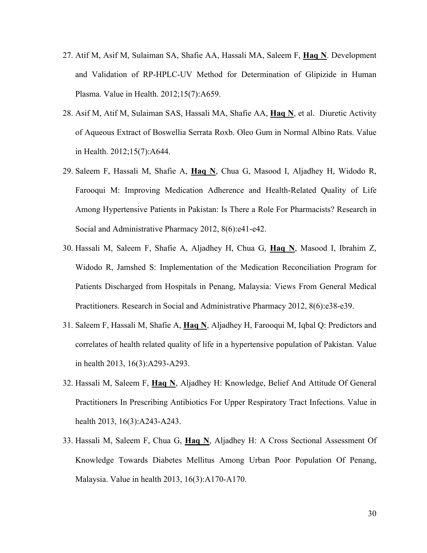- 27. Atif M, Asif M, Sulaiman SA, Shafie AA, Hassali MA, Saleem F, **Haq N**. Development and Validation of RP-HPLC-UV Method for Determination of Glipizide in Human Plasma. Value in Health. 2012;15(7):A659.
- 28. Asif M, Atif M, Sulaiman SAS, Hassali MA, Shafie AA, **Haq N**, et al. Diuretic Activity of Aqueous Extract of Boswellia Serrata Roxb. Oleo Gum in Normal Albino Rats. Value in Health. 2012;15(7):A644.
- 29. Saleem F, Hassali M, Shafie A, **Haq N**, Chua G, Masood I, Aljadhey H, Widodo R, Farooqui M: Improving Medication Adherence and Health-Related Quality of Life Among Hypertensive Patients in Pakistan: Is There a Role For Pharmacists? Research in Social and Administrative Pharmacy 2012, 8(6):e41-e42.
- 30. Hassali M, Saleem F, Shafie A, Aljadhey H, Chua G, **Haq N**, Masood I, Ibrahim Z, Widodo R, Jamshed S: Implementation of the Medication Reconciliation Program for Patients Discharged from Hospitals in Penang, Malaysia: Views From General Medical Practitioners. Research in Social and Administrative Pharmacy 2012, 8(6):e38-e39.
- 31. Saleem F, Hassali M, Shafie A, **Haq N**, Aljadhey H, Farooqui M, Iqbal Q: Predictors and correlates of health related quality of life in a hypertensive population of Pakistan. Value in health 2013, 16(3):A293-A293.
- 32. Hassali M, Saleem F, **Haq N**, Aljadhey H: Knowledge, Belief And Attitude Of General Practitioners In Prescribing Antibiotics For Upper Respiratory Tract Infections. Value in health 2013, 16(3):A243-A243.
- 33. Hassali M, Saleem F, Chua G, **Haq N**, Aljadhey H: A Cross Sectional Assessment Of Knowledge Towards Diabetes Mellitus Among Urban Poor Population Of Penang, Malaysia. Value in health 2013, 16(3):A170-A170.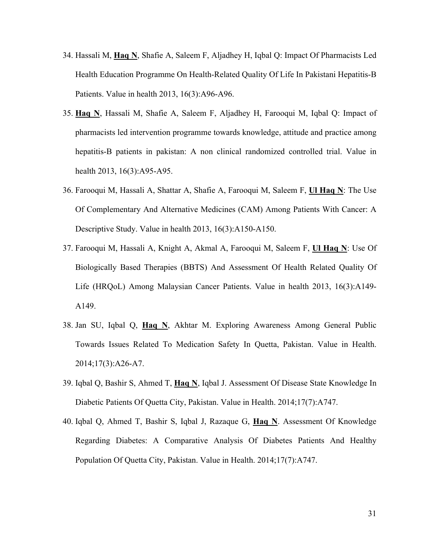- 34. Hassali M, **Haq N**, Shafie A, Saleem F, Aljadhey H, Iqbal Q: Impact Of Pharmacists Led Health Education Programme On Health-Related Quality Of Life In Pakistani Hepatitis-B Patients. Value in health 2013, 16(3):A96-A96.
- 35. **Haq N**, Hassali M, Shafie A, Saleem F, Aljadhey H, Farooqui M, Iqbal Q: Impact of pharmacists led intervention programme towards knowledge, attitude and practice among hepatitis-B patients in pakistan: A non clinical randomized controlled trial. Value in health 2013, 16(3):A95-A95.
- 36. Farooqui M, Hassali A, Shattar A, Shafie A, Farooqui M, Saleem F, **Ul Haq N**: The Use Of Complementary And Alternative Medicines (CAM) Among Patients With Cancer: A Descriptive Study. Value in health 2013, 16(3):A150-A150.
- 37. Farooqui M, Hassali A, Knight A, Akmal A, Farooqui M, Saleem F, **Ul Haq N**: Use Of Biologically Based Therapies (BBTS) And Assessment Of Health Related Quality Of Life (HRQoL) Among Malaysian Cancer Patients. Value in health 2013, 16(3):A149- A149.
- 38. Jan SU, Iqbal Q, **Haq N**, Akhtar M. Exploring Awareness Among General Public Towards Issues Related To Medication Safety In Quetta, Pakistan. Value in Health. 2014;17(3):A26-A7.
- 39. Iqbal Q, Bashir S, Ahmed T, **Haq N**, Iqbal J. Assessment Of Disease State Knowledge In Diabetic Patients Of Quetta City, Pakistan. Value in Health. 2014;17(7):A747.
- 40. Iqbal Q, Ahmed T, Bashir S, Iqbal J, Razaque G, **Haq N**. Assessment Of Knowledge Regarding Diabetes: A Comparative Analysis Of Diabetes Patients And Healthy Population Of Quetta City, Pakistan. Value in Health. 2014;17(7):A747.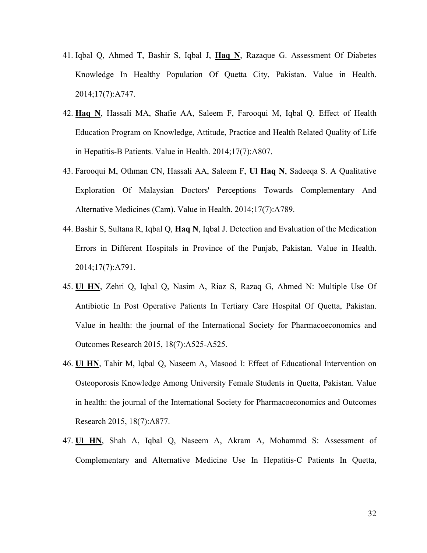- 41. Iqbal Q, Ahmed T, Bashir S, Iqbal J, **Haq N**, Razaque G. Assessment Of Diabetes Knowledge In Healthy Population Of Quetta City, Pakistan. Value in Health. 2014;17(7):A747.
- 42. **Haq N**, Hassali MA, Shafie AA, Saleem F, Farooqui M, Iqbal Q. Effect of Health Education Program on Knowledge, Attitude, Practice and Health Related Quality of Life in Hepatitis-B Patients. Value in Health. 2014;17(7):A807.
- 43. Farooqui M, Othman CN, Hassali AA, Saleem F, **Ul Haq N**, Sadeeqa S. A Qualitative Exploration Of Malaysian Doctors' Perceptions Towards Complementary And Alternative Medicines (Cam). Value in Health. 2014;17(7):A789.
- 44. Bashir S, Sultana R, Iqbal Q, **Haq N**, Iqbal J. Detection and Evaluation of the Medication Errors in Different Hospitals in Province of the Punjab, Pakistan. Value in Health. 2014;17(7):A791.
- 45. **Ul HN**, Zehri Q, Iqbal Q, Nasim A, Riaz S, Razaq G, Ahmed N: Multiple Use Of Antibiotic In Post Operative Patients In Tertiary Care Hospital Of Quetta, Pakistan. Value in health: the journal of the International Society for Pharmacoeconomics and Outcomes Research 2015, 18(7):A525-A525.
- 46. **Ul HN**, Tahir M, Iqbal Q, Naseem A, Masood I: Effect of Educational Intervention on Osteoporosis Knowledge Among University Female Students in Quetta, Pakistan. Value in health: the journal of the International Society for Pharmacoeconomics and Outcomes Research 2015, 18(7):A877.
- 47. **Ul HN**, Shah A, Iqbal Q, Naseem A, Akram A, Mohammd S: Assessment of Complementary and Alternative Medicine Use In Hepatitis-C Patients In Quetta,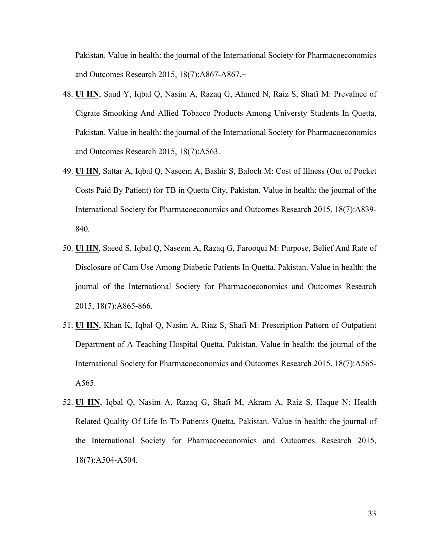Pakistan. Value in health: the journal of the International Society for Pharmacoeconomics and Outcomes Research 2015, 18(7):A867-A867.+

- 48. **Ul HN**, Saud Y, Iqbal Q, Nasim A, Razaq G, Ahmed N, Raiz S, Shafi M: Prevalnce of Cigrate Smooking And Allied Tobacco Products Among Universty Students In Quetta, Pakistan. Value in health: the journal of the International Society for Pharmacoeconomics and Outcomes Research 2015, 18(7):A563.
- 49. **Ul HN**, Sattar A, Iqbal Q, Naseem A, Bashir S, Baloch M: Cost of Illness (Out of Pocket Costs Paid By Patient) for TB in Quetta City, Pakistan. Value in health: the journal of the International Society for Pharmacoeconomics and Outcomes Research 2015, 18(7):A839- 840.
- 50. **Ul HN**, Saeed S, Iqbal Q, Naseem A, Razaq G, Farooqui M: Purpose, Belief And Rate of Disclosure of Cam Use Among Diabetic Patients In Quetta, Pakistan. Value in health: the journal of the International Society for Pharmacoeconomics and Outcomes Research 2015, 18(7):A865-866.
- 51. **Ul HN**, Khan K, Iqbal Q, Nasim A, Riaz S, Shafi M: Prescription Pattern of Outpatient Department of A Teaching Hospital Quetta, Pakistan. Value in health: the journal of the International Society for Pharmacoeconomics and Outcomes Research 2015, 18(7):A565- A565.
- 52. **Ul HN**, Iqbal Q, Nasim A, Razaq G, Shafi M, Akram A, Raiz S, Haque N: Health Related Quality Of Life In Tb Patients Quetta, Pakistan. Value in health: the journal of the International Society for Pharmacoeconomics and Outcomes Research 2015, 18(7):A504-A504.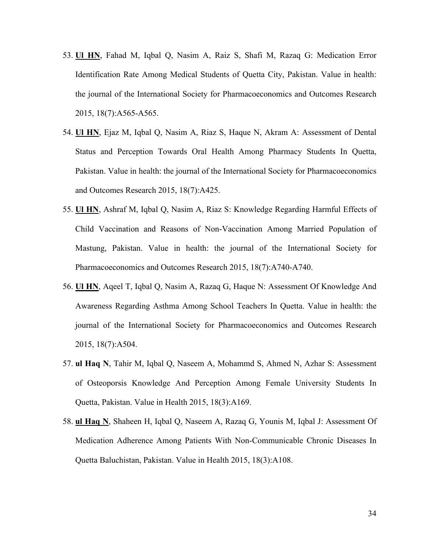- 53. **Ul HN**, Fahad M, Iqbal Q, Nasim A, Raiz S, Shafi M, Razaq G: Medication Error Identification Rate Among Medical Students of Quetta City, Pakistan. Value in health: the journal of the International Society for Pharmacoeconomics and Outcomes Research 2015, 18(7):A565-A565.
- 54. **Ul HN**, Ejaz M, Iqbal Q, Nasim A, Riaz S, Haque N, Akram A: Assessment of Dental Status and Perception Towards Oral Health Among Pharmacy Students In Quetta, Pakistan. Value in health: the journal of the International Society for Pharmacoeconomics and Outcomes Research 2015, 18(7):A425.
- 55. **Ul HN**, Ashraf M, Iqbal Q, Nasim A, Riaz S: Knowledge Regarding Harmful Effects of Child Vaccination and Reasons of Non-Vaccination Among Married Population of Mastung, Pakistan. Value in health: the journal of the International Society for Pharmacoeconomics and Outcomes Research 2015, 18(7):A740-A740.
- 56. **Ul HN**, Aqeel T, Iqbal Q, Nasim A, Razaq G, Haque N: Assessment Of Knowledge And Awareness Regarding Asthma Among School Teachers In Quetta. Value in health: the journal of the International Society for Pharmacoeconomics and Outcomes Research 2015, 18(7):A504.
- 57. **ul Haq N**, Tahir M, Iqbal Q, Naseem A, Mohammd S, Ahmed N, Azhar S: Assessment of Osteoporsis Knowledge And Perception Among Female University Students In Quetta, Pakistan. Value in Health 2015, 18(3):A169.
- 58. **ul Haq N**, Shaheen H, Iqbal Q, Naseem A, Razaq G, Younis M, Iqbal J: Assessment Of Medication Adherence Among Patients With Non-Communicable Chronic Diseases In Quetta Baluchistan, Pakistan. Value in Health 2015, 18(3):A108.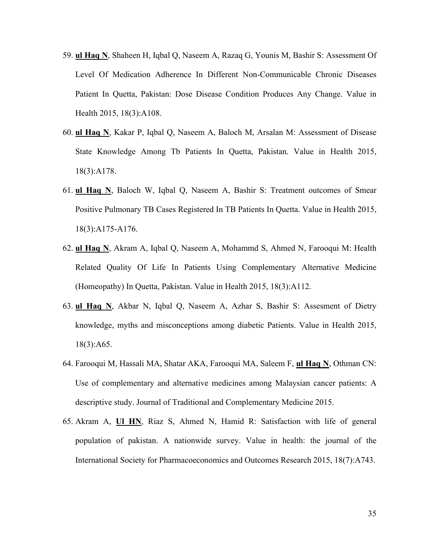- 59. **ul Haq N**, Shaheen H, Iqbal Q, Naseem A, Razaq G, Younis M, Bashir S: Assessment Of Level Of Medication Adherence In Different Non-Communicable Chronic Diseases Patient In Quetta, Pakistan: Dose Disease Condition Produces Any Change. Value in Health 2015, 18(3):A108.
- 60. **ul Haq N**, Kakar P, Iqbal Q, Naseem A, Baloch M, Arsalan M: Assessment of Disease State Knowledge Among Tb Patients In Quetta, Pakistan. Value in Health 2015, 18(3):A178.
- 61. **ul Haq N**, Baloch W, Iqbal Q, Naseem A, Bashir S: Treatment outcomes of Smear Positive Pulmonary TB Cases Registered In TB Patients In Quetta. Value in Health 2015, 18(3):A175-A176.
- 62. **ul Haq N**, Akram A, Iqbal Q, Naseem A, Mohammd S, Ahmed N, Farooqui M: Health Related Quality Of Life In Patients Using Complementary Alternative Medicine (Homeopathy) In Quetta, Pakistan. Value in Health 2015, 18(3):A112.
- 63. **ul Haq N**, Akbar N, Iqbal Q, Naseem A, Azhar S, Bashir S: Assesment of Dietry knowledge, myths and misconceptions among diabetic Patients. Value in Health 2015, 18(3):A65.
- 64. Farooqui M, Hassali MA, Shatar AKA, Farooqui MA, Saleem F, **ul Haq N**, Othman CN: Use of complementary and alternative medicines among Malaysian cancer patients: A descriptive study. Journal of Traditional and Complementary Medicine 2015.
- 65. Akram A, **Ul HN**, Riaz S, Ahmed N, Hamid R: Satisfaction with life of general population of pakistan. A nationwide survey. Value in health: the journal of the International Society for Pharmacoeconomics and Outcomes Research 2015, 18(7):A743.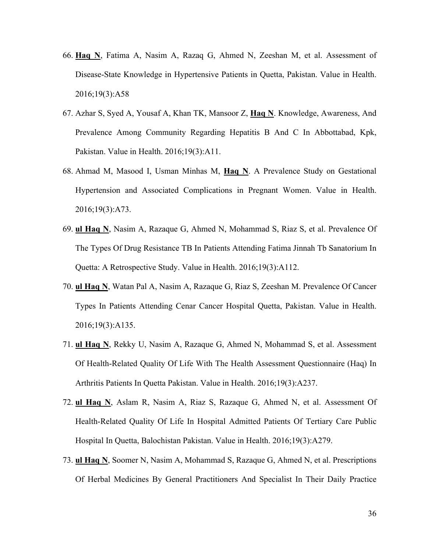- 66. **Haq N**, Fatima A, Nasim A, Razaq G, Ahmed N, Zeeshan M, et al. Assessment of Disease-State Knowledge in Hypertensive Patients in Quetta, Pakistan. Value in Health. 2016;19(3):A58
- 67. Azhar S, Syed A, Yousaf A, Khan TK, Mansoor Z, **Haq N**. Knowledge, Awareness, And Prevalence Among Community Regarding Hepatitis B And C In Abbottabad, Kpk, Pakistan. Value in Health. 2016;19(3):A11.
- 68. Ahmad M, Masood I, Usman Minhas M, **Haq N**. A Prevalence Study on Gestational Hypertension and Associated Complications in Pregnant Women. Value in Health. 2016;19(3):A73.
- 69. **ul Haq N**, Nasim A, Razaque G, Ahmed N, Mohammad S, Riaz S, et al. Prevalence Of The Types Of Drug Resistance TB In Patients Attending Fatima Jinnah Tb Sanatorium In Quetta: A Retrospective Study. Value in Health. 2016;19(3):A112.
- 70. **ul Haq N**, Watan Pal A, Nasim A, Razaque G, Riaz S, Zeeshan M. Prevalence Of Cancer Types In Patients Attending Cenar Cancer Hospital Quetta, Pakistan. Value in Health. 2016;19(3):A135.
- 71. **ul Haq N**, Rekky U, Nasim A, Razaque G, Ahmed N, Mohammad S, et al. Assessment Of Health-Related Quality Of Life With The Health Assessment Questionnaire (Haq) In Arthritis Patients In Quetta Pakistan. Value in Health. 2016;19(3):A237.
- 72. **ul Haq N**, Aslam R, Nasim A, Riaz S, Razaque G, Ahmed N, et al. Assessment Of Health-Related Quality Of Life In Hospital Admitted Patients Of Tertiary Care Public Hospital In Quetta, Balochistan Pakistan. Value in Health. 2016;19(3):A279.
- 73. **ul Haq N**, Soomer N, Nasim A, Mohammad S, Razaque G, Ahmed N, et al. Prescriptions Of Herbal Medicines By General Practitioners And Specialist In Their Daily Practice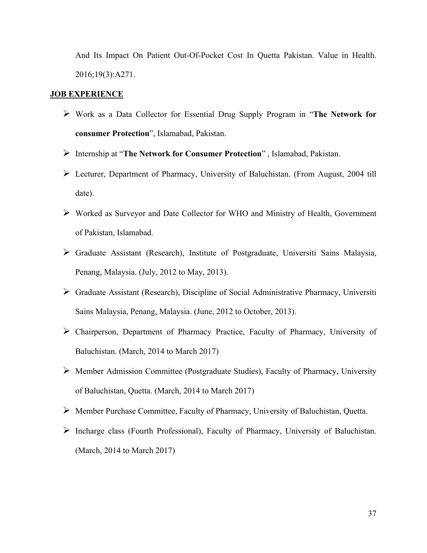And Its Impact On Patient Out-Of-Pocket Cost In Quetta Pakistan. Value in Health. 2016;19(3):A271.

#### **JOB EXPERIENCE**

- Work as a Data Collector for Essential Drug Supply Program in "**The Network for consumer Protection**", Islamabad, Pakistan.
- Internship at "**The Network for Consumer Protection**" , Islamabad, Pakistan.
- Lecturer, Department of Pharmacy, University of Baluchistan. (From August, 2004 till date).
- Worked as Surveyor and Date Collector for WHO and Ministry of Health, Government of Pakistan, Islamabad.
- Graduate Assistant (Research), Institute of Postgraduate, Universiti Sains Malaysia, Penang, Malaysia. (July, 2012 to May, 2013).
- Graduate Assistant (Research), Discipline of Social Administrative Pharmacy, Universiti Sains Malaysia, Penang, Malaysia. (June, 2012 to October, 2013).
- Chairperson, Department of Pharmacy Practice, Faculty of Pharmacy, University of Baluchistan. (March, 2014 to March 2017)
- Member Admission Committee (Postgraduate Studies), Faculty of Pharmacy, University of Baluchistan, Quetta. (March, 2014 to March 2017)
- Member Purchase Committee, Faculty of Pharmacy, University of Baluchistan, Quetta.
- Incharge class (Fourth Professional), Faculty of Pharmacy, University of Baluchistan. (March, 2014 to March 2017)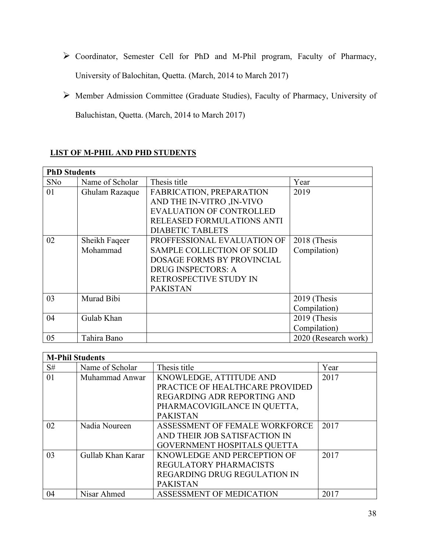- Coordinator, Semester Cell for PhD and M-Phil program, Faculty of Pharmacy, University of Balochitan, Quetta. (March, 2014 to March 2017)
- Member Admission Committee (Graduate Studies), Faculty of Pharmacy, University of Baluchistan, Quetta. (March, 2014 to March 2017)

|            | <b>PhD Students</b> |                                   |                      |  |
|------------|---------------------|-----------------------------------|----------------------|--|
| <b>SNo</b> | Name of Scholar     | Thesis title                      | Year                 |  |
| 01         | Ghulam Razaque      | FABRICATION, PREPARATION          | 2019                 |  |
|            |                     | AND THE IN-VITRO , IN-VIVO        |                      |  |
|            |                     | <b>EVALUATION OF CONTROLLED</b>   |                      |  |
|            |                     | <b>RELEASED FORMULATIONS ANTI</b> |                      |  |
|            |                     | <b>DIABETIC TABLETS</b>           |                      |  |
| 02         | Sheikh Faqeer       | PROFFESSIONAL EVALUATION OF       | 2018 (Thesis         |  |
|            | Mohammad            | <b>SAMPLE COLLECTION OF SOLID</b> | Compilation)         |  |
|            |                     | <b>DOSAGE FORMS BY PROVINCIAL</b> |                      |  |
|            |                     | <b>DRUG INSPECTORS: A</b>         |                      |  |
|            |                     | RETROSPECTIVE STUDY IN            |                      |  |
|            |                     | <b>PAKISTAN</b>                   |                      |  |
| 03         | Murad Bibi          |                                   | 2019 (Thesis         |  |
|            |                     |                                   | Compilation)         |  |
| 04         | Gulab Khan          |                                   | 2019 (Thesis         |  |
|            |                     |                                   | Compilation)         |  |
| 05         | Tahira Bano         |                                   | 2020 (Research work) |  |

## **LIST OF M-PHIL AND PHD STUDENTS**

| <b>M-Phil Students</b> |                   |                                     |      |
|------------------------|-------------------|-------------------------------------|------|
| S#                     | Name of Scholar   | Thesis title                        | Year |
| 01                     | Muhammad Anwar    | KNOWLEDGE, ATTITUDE AND             | 2017 |
|                        |                   | PRACTICE OF HEALTHCARE PROVIDED     |      |
|                        |                   | REGARDING ADR REPORTING AND         |      |
|                        |                   | PHARMACOVIGILANCE IN QUETTA,        |      |
|                        |                   | <b>PAKISTAN</b>                     |      |
| 02                     | Nadia Noureen     | ASSESSMENT OF FEMALE WORKFORCE      | 2017 |
|                        |                   | AND THEIR JOB SATISFACTION IN       |      |
|                        |                   | <b>GOVERNMENT HOSPITALS QUETTA</b>  |      |
| 03                     | Gullab Khan Karar | KNOWLEDGE AND PERCEPTION OF         | 2017 |
|                        |                   | <b>REGULATORY PHARMACISTS</b>       |      |
|                        |                   | <b>REGARDING DRUG REGULATION IN</b> |      |
|                        |                   | <b>PAKISTAN</b>                     |      |
| 04                     | Nisar Ahmed       | ASSESSMENT OF MEDICATION            | 2017 |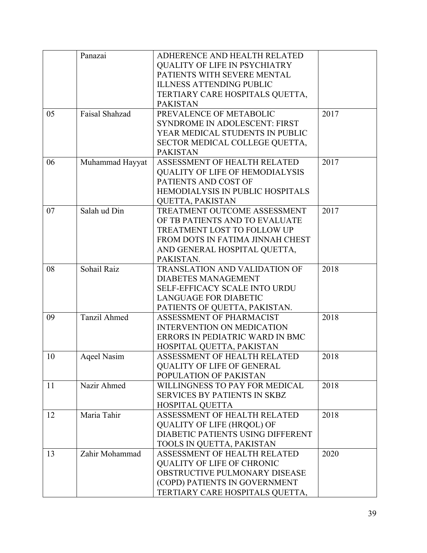|    | Panazai             | ADHERENCE AND HEALTH RELATED                                   |      |
|----|---------------------|----------------------------------------------------------------|------|
|    |                     | <b>QUALITY OF LIFE IN PSYCHIATRY</b>                           |      |
|    |                     | PATIENTS WITH SEVERE MENTAL                                    |      |
|    |                     | <b>ILLNESS ATTENDING PUBLIC</b>                                |      |
|    |                     | TERTIARY CARE HOSPITALS QUETTA,                                |      |
|    |                     | <b>PAKISTAN</b>                                                |      |
| 05 | Faisal Shahzad      | PREVALENCE OF METABOLIC                                        | 2017 |
|    |                     | <b>SYNDROME IN ADOLESCENT: FIRST</b>                           |      |
|    |                     | YEAR MEDICAL STUDENTS IN PUBLIC                                |      |
|    |                     | SECTOR MEDICAL COLLEGE QUETTA,                                 |      |
|    |                     | <b>PAKISTAN</b>                                                |      |
| 06 |                     | ASSESSMENT OF HEALTH RELATED                                   | 2017 |
|    | Muhammad Hayyat     |                                                                |      |
|    |                     | <b>QUALITY OF LIFE OF HEMODIALYSIS</b><br>PATIENTS AND COST OF |      |
|    |                     | HEMODIALYSIS IN PUBLIC HOSPITALS                               |      |
|    |                     |                                                                |      |
|    |                     | QUETTA, PAKISTAN                                               | 2017 |
| 07 | Salah ud Din        | TREATMENT OUTCOME ASSESSMENT                                   |      |
|    |                     | OF TB PATIENTS AND TO EVALUATE                                 |      |
|    |                     | TREATMENT LOST TO FOLLOW UP                                    |      |
|    |                     | FROM DOTS IN FATIMA JINNAH CHEST                               |      |
|    |                     | AND GENERAL HOSPITAL QUETTA,                                   |      |
|    |                     | PAKISTAN.                                                      |      |
| 08 | Sohail Raiz         | TRANSLATION AND VALIDATION OF                                  | 2018 |
|    |                     | <b>DIABETES MANAGEMENT</b>                                     |      |
|    |                     | <b>SELF-EFFICACY SCALE INTO URDU</b>                           |      |
|    |                     | <b>LANGUAGE FOR DIABETIC</b>                                   |      |
|    |                     | PATIENTS OF QUETTA, PAKISTAN.                                  |      |
| 09 | <b>Tanzil Ahmed</b> | ASSESSMENT OF PHARMACIST                                       | 2018 |
|    |                     | <b>INTERVENTION ON MEDICATION</b>                              |      |
|    |                     | ERRORS IN PEDIATRIC WARD IN BMC                                |      |
|    |                     | HOSPITAL QUETTA, PAKISTAN                                      |      |
| 10 | Aqeel Nasim         | ASSESSMENT OF HEALTH RELATED                                   | 2018 |
|    |                     | <b>QUALITY OF LIFE OF GENERAL</b>                              |      |
|    |                     | POPULATION OF PAKISTAN                                         |      |
| 11 | Nazir Ahmed         | WILLINGNESS TO PAY FOR MEDICAL                                 | 2018 |
|    |                     | <b>SERVICES BY PATIENTS IN SKBZ</b>                            |      |
|    |                     | HOSPITAL QUETTA                                                |      |
| 12 | Maria Tahir         | ASSESSMENT OF HEALTH RELATED                                   | 2018 |
|    |                     | <b>QUALITY OF LIFE (HRQOL) OF</b>                              |      |
|    |                     | DIABETIC PATIENTS USING DIFFERENT                              |      |
|    |                     | TOOLS IN QUETTA, PAKISTAN                                      |      |
| 13 | Zahir Mohammad      | ASSESSMENT OF HEALTH RELATED                                   | 2020 |
|    |                     | <b>QUALITY OF LIFE OF CHRONIC</b>                              |      |
|    |                     | OBSTRUCTIVE PULMONARY DISEASE                                  |      |
|    |                     | (COPD) PATIENTS IN GOVERNMENT                                  |      |
|    |                     | TERTIARY CARE HOSPITALS QUETTA,                                |      |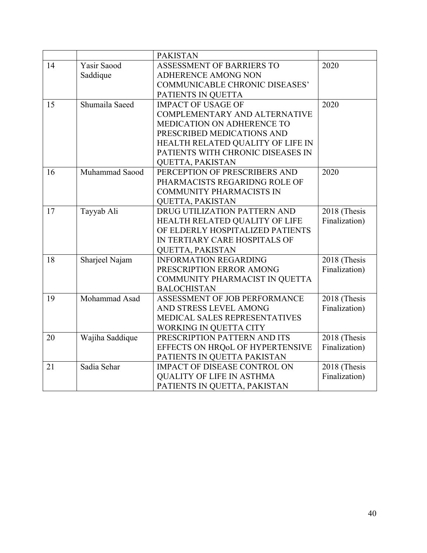|    |                 | <b>PAKISTAN</b>                     |               |
|----|-----------------|-------------------------------------|---------------|
| 14 | Yasir Saood     | ASSESSMENT OF BARRIERS TO           | 2020          |
|    | Saddique        | ADHERENCE AMONG NON                 |               |
|    |                 | COMMUNICABLE CHRONIC DISEASES'      |               |
|    |                 | PATIENTS IN QUETTA                  |               |
| 15 | Shumaila Saeed  | <b>IMPACT OF USAGE OF</b>           | 2020          |
|    |                 | COMPLEMENTARY AND ALTERNATIVE       |               |
|    |                 | MEDICATION ON ADHERENCE TO          |               |
|    |                 | PRESCRIBED MEDICATIONS AND          |               |
|    |                 | HEALTH RELATED QUALITY OF LIFE IN   |               |
|    |                 | PATIENTS WITH CHRONIC DISEASES IN   |               |
|    |                 | QUETTA, PAKISTAN                    |               |
| 16 | Muhammad Saood  | PERCEPTION OF PRESCRIBERS AND       | 2020          |
|    |                 | PHARMACISTS REGARIDNG ROLE OF       |               |
|    |                 | COMMUNITY PHARMACISTS IN            |               |
|    |                 | <b>QUETTA, PAKISTAN</b>             |               |
| 17 | Tayyab Ali      | DRUG UTILIZATION PATTERN AND        | 2018 (Thesis  |
|    |                 | HEALTH RELATED QUALITY OF LIFE      | Finalization) |
|    |                 | OF ELDERLY HOSPITALIZED PATIENTS    |               |
|    |                 | IN TERTIARY CARE HOSPITALS OF       |               |
|    |                 | QUETTA, PAKISTAN                    |               |
| 18 | Sharjeel Najam  | <b>INFORMATION REGARDING</b>        | 2018 (Thesis  |
|    |                 | PRESCRIPTION ERROR AMONG            | Finalization) |
|    |                 | COMMUNITY PHARMACIST IN QUETTA      |               |
|    |                 | <b>BALOCHISTAN</b>                  |               |
| 19 | Mohammad Asad   | ASSESSMENT OF JOB PERFORMANCE       | 2018 (Thesis  |
|    |                 | AND STRESS LEVEL AMONG              | Finalization) |
|    |                 | MEDICAL SALES REPRESENTATIVES       |               |
|    |                 | WORKING IN QUETTA CITY              |               |
| 20 | Wajiha Saddique | PRESCRIPTION PATTERN AND ITS        | 2018 (Thesis  |
|    |                 | EFFECTS ON HRQoL OF HYPERTENSIVE    | Finalization) |
|    |                 | PATIENTS IN QUETTA PAKISTAN         |               |
| 21 | Sadia Sehar     | <b>IMPACT OF DISEASE CONTROL ON</b> | 2018 (Thesis  |
|    |                 | <b>QUALITY OF LIFE IN ASTHMA</b>    | Finalization) |
|    |                 | PATIENTS IN QUETTA, PAKISTAN        |               |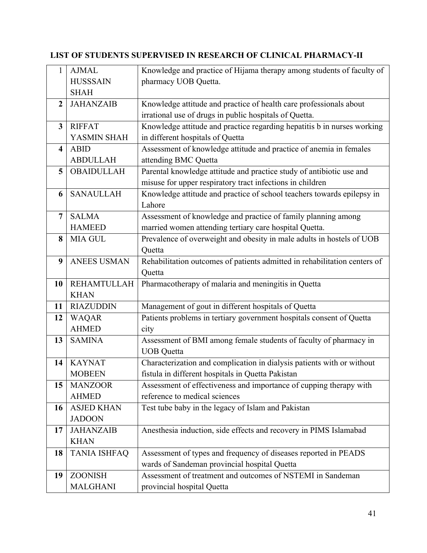# **LIST OF STUDENTS SUPERVISED IN RESEARCH OF CLINICAL PHARMACY-II**

| 1                       | <b>AJMAL</b>        | Knowledge and practice of Hijama therapy among students of faculty of     |
|-------------------------|---------------------|---------------------------------------------------------------------------|
|                         | <b>HUSSSAIN</b>     | pharmacy UOB Quetta.                                                      |
|                         | <b>SHAH</b>         |                                                                           |
| $\overline{2}$          | <b>JAHANZAIB</b>    | Knowledge attitude and practice of health care professionals about        |
|                         |                     | irrational use of drugs in public hospitals of Quetta.                    |
| $\overline{3}$          | <b>RIFFAT</b>       | Knowledge attitude and practice regarding hepatitis b in nurses working   |
|                         | YASMIN SHAH         | in different hospitals of Quetta                                          |
| $\overline{\mathbf{4}}$ | <b>ABID</b>         | Assessment of knowledge attitude and practice of anemia in females        |
|                         | <b>ABDULLAH</b>     | attending BMC Quetta                                                      |
| 5                       | <b>OBAIDULLAH</b>   | Parental knowledge attitude and practice study of antibiotic use and      |
|                         |                     | misuse for upper respiratory tract infections in children                 |
| 6                       | <b>SANAULLAH</b>    | Knowledge attitude and practice of school teachers towards epilepsy in    |
|                         |                     | Lahore                                                                    |
| $\overline{7}$          | <b>SALMA</b>        | Assessment of knowledge and practice of family planning among             |
|                         | <b>HAMEED</b>       | married women attending tertiary care hospital Quetta.                    |
| 8                       | <b>MIA GUL</b>      | Prevalence of overweight and obesity in male adults in hostels of UOB     |
|                         |                     | Quetta                                                                    |
| 9                       | <b>ANEES USMAN</b>  | Rehabilitation outcomes of patients admitted in rehabilitation centers of |
|                         |                     | Quetta                                                                    |
| 10                      | <b>REHAMTULLAH</b>  | Pharmacotherapy of malaria and meningitis in Quetta                       |
|                         | <b>KHAN</b>         |                                                                           |
| 11                      | <b>RIAZUDDIN</b>    | Management of gout in different hospitals of Quetta                       |
| 12                      | <b>WAQAR</b>        | Patients problems in tertiary government hospitals consent of Quetta      |
|                         | <b>AHMED</b>        | city                                                                      |
| 13                      | <b>SAMINA</b>       | Assessment of BMI among female students of faculty of pharmacy in         |
|                         |                     | <b>UOB</b> Quetta                                                         |
| 14                      | <b>KAYNAT</b>       | Characterization and complication in dialysis patients with or without    |
|                         | <b>MOBEEN</b>       | fistula in different hospitals in Quetta Pakistan                         |
| 15                      | <b>MANZOOR</b>      | Assessment of effectiveness and importance of cupping therapy with        |
|                         | <b>AHMED</b>        | reference to medical sciences                                             |
| 16                      | <b>ASJED KHAN</b>   | Test tube baby in the legacy of Islam and Pakistan                        |
|                         | <b>JADOON</b>       |                                                                           |
| 17                      | <b>JAHANZAIB</b>    | Anesthesia induction, side effects and recovery in PIMS Islamabad         |
|                         | <b>KHAN</b>         |                                                                           |
| 18                      | <b>TANIA ISHFAQ</b> | Assessment of types and frequency of diseases reported in PEADS           |
|                         |                     | wards of Sandeman provincial hospital Quetta                              |
| 19                      |                     |                                                                           |
|                         | <b>ZOONISH</b>      | Assessment of treatment and outcomes of NSTEMI in Sandeman                |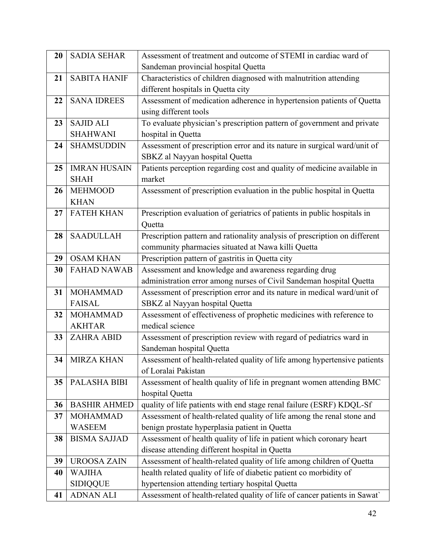| 20 | <b>SADIA SEHAR</b>  | Assessment of treatment and outcome of STEMI in cardiac ward of            |
|----|---------------------|----------------------------------------------------------------------------|
|    |                     | Sandeman provincial hospital Quetta                                        |
| 21 | <b>SABITA HANIF</b> | Characteristics of children diagnosed with malnutrition attending          |
|    |                     | different hospitals in Quetta city                                         |
| 22 | <b>SANA IDREES</b>  | Assessment of medication adherence in hypertension patients of Quetta      |
|    |                     | using different tools                                                      |
| 23 | <b>SAJID ALI</b>    | To evaluate physician's prescription pattern of government and private     |
|    | <b>SHAHWANI</b>     | hospital in Quetta                                                         |
| 24 | <b>SHAMSUDDIN</b>   | Assessment of prescription error and its nature in surgical ward/unit of   |
|    |                     | SBKZ al Nayyan hospital Quetta                                             |
| 25 | <b>IMRAN HUSAIN</b> | Patients perception regarding cost and quality of medicine available in    |
|    | <b>SHAH</b>         | market                                                                     |
| 26 | <b>MEHMOOD</b>      | Assessment of prescription evaluation in the public hospital in Quetta     |
|    | <b>KHAN</b>         |                                                                            |
| 27 | <b>FATEH KHAN</b>   | Prescription evaluation of geriatrics of patients in public hospitals in   |
|    |                     | Quetta                                                                     |
| 28 | <b>SAADULLAH</b>    | Prescription pattern and rationality analysis of prescription on different |
|    |                     | community pharmacies situated at Nawa killi Quetta                         |
| 29 | <b>OSAM KHAN</b>    | Prescription pattern of gastritis in Quetta city                           |
| 30 | <b>FAHAD NAWAB</b>  | Assessment and knowledge and awareness regarding drug                      |
|    |                     | administration error among nurses of Civil Sandeman hospital Quetta        |
| 31 | <b>MOHAMMAD</b>     | Assessment of prescription error and its nature in medical ward/unit of    |
|    | <b>FAISAL</b>       | SBKZ al Nayyan hospital Quetta                                             |
| 32 | <b>MOHAMMAD</b>     | Assessment of effectiveness of prophetic medicines with reference to       |
|    | <b>AKHTAR</b>       | medical science                                                            |
| 33 | <b>ZAHRA ABID</b>   | Assessment of prescription review with regard of pediatrics ward in        |
|    |                     | Sandeman hospital Quetta                                                   |
| 34 | <b>MIRZA KHAN</b>   | Assessment of health-related quality of life among hypertensive patients   |
|    |                     | of Loralai Pakistan                                                        |
| 35 | PALASHA BIBI        | Assessment of health quality of life in pregnant women attending BMC       |
|    |                     | hospital Quetta                                                            |
| 36 | <b>BASHIR AHMED</b> | quality of life patients with end stage renal failure (ESRF) KDQL-Sf       |
| 37 | <b>MOHAMMAD</b>     | Assessment of health-related quality of life among the renal stone and     |
|    | <b>WASEEM</b>       | benign prostate hyperplasia patient in Quetta                              |
| 38 | <b>BISMA SAJJAD</b> | Assessment of health quality of life in patient which coronary heart       |
|    |                     | disease attending different hospital in Quetta                             |
| 39 | <b>UROOSA ZAIN</b>  | Assessment of health-related quality of life among children of Quetta      |
| 40 | <b>WAJIHA</b>       | health related quality of life of diabetic patient co morbidity of         |
|    | <b>SIDIQQUE</b>     | hypertension attending tertiary hospital Quetta                            |
| 41 | <b>ADNAN ALI</b>    | Assessment of health-related quality of life of cancer patients in Sawat'  |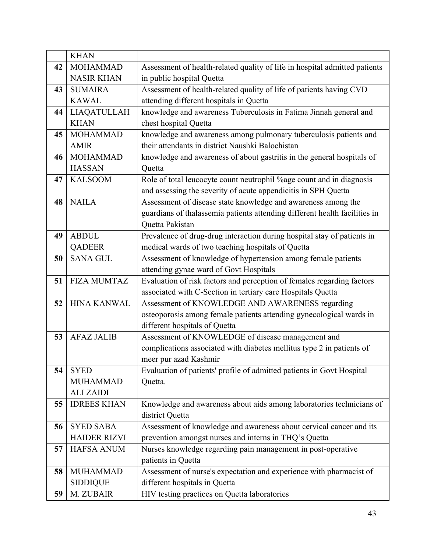|    | <b>KHAN</b>         |                                                                            |
|----|---------------------|----------------------------------------------------------------------------|
| 42 | <b>MOHAMMAD</b>     | Assessment of health-related quality of life in hospital admitted patients |
|    | <b>NASIR KHAN</b>   | in public hospital Quetta                                                  |
| 43 | <b>SUMAIRA</b>      | Assessment of health-related quality of life of patients having CVD        |
|    | <b>KAWAL</b>        | attending different hospitals in Quetta                                    |
| 44 | <b>LIAQATULLAH</b>  | knowledge and awareness Tuberculosis in Fatima Jinnah general and          |
|    | <b>KHAN</b>         | chest hospital Quetta                                                      |
| 45 | <b>MOHAMMAD</b>     | knowledge and awareness among pulmonary tuberculosis patients and          |
|    | <b>AMIR</b>         | their attendants in district Naushki Balochistan                           |
| 46 | <b>MOHAMMAD</b>     | knowledge and awareness of about gastritis in the general hospitals of     |
|    | <b>HASSAN</b>       | Quetta                                                                     |
| 47 | <b>KALSOOM</b>      | Role of total leucocyte count neutrophil % age count and in diagnosis      |
|    |                     | and assessing the severity of acute appendicitis in SPH Quetta             |
| 48 | <b>NAILA</b>        | Assessment of disease state knowledge and awareness among the              |
|    |                     | guardians of thalassemia patients attending different health facilities in |
|    |                     | Quetta Pakistan                                                            |
| 49 | <b>ABDUL</b>        | Prevalence of drug-drug interaction during hospital stay of patients in    |
|    | <b>QADEER</b>       | medical wards of two teaching hospitals of Quetta                          |
| 50 | <b>SANA GUL</b>     | Assessment of knowledge of hypertension among female patients              |
|    |                     | attending gynae ward of Govt Hospitals                                     |
| 51 | <b>FIZA MUMTAZ</b>  | Evaluation of risk factors and perception of females regarding factors     |
|    |                     | associated with C-Section in tertiary care Hospitals Quetta                |
| 52 | <b>HINA KANWAL</b>  | Assessment of KNOWLEDGE AND AWARENESS regarding                            |
|    |                     | osteoporosis among female patients attending gynecological wards in        |
|    |                     | different hospitals of Quetta                                              |
| 53 | <b>AFAZ JALIB</b>   | Assessment of KNOWLEDGE of disease management and                          |
|    |                     | complications associated with diabetes mellitus type 2 in patients of      |
|    |                     | meer pur azad Kashmir                                                      |
| 54 | <b>SYED</b>         | Evaluation of patients' profile of admitted patients in Govt Hospital      |
|    | <b>MUHAMMAD</b>     | Quetta.                                                                    |
|    | <b>ALI ZAIDI</b>    |                                                                            |
| 55 | <b>IDREES KHAN</b>  | Knowledge and awareness about aids among laboratories technicians of       |
|    |                     | district Quetta                                                            |
| 56 | <b>SYED SABA</b>    | Assessment of knowledge and awareness about cervical cancer and its        |
|    | <b>HAIDER RIZVI</b> | prevention amongst nurses and interns in THQ's Quetta                      |
| 57 | <b>HAFSA ANUM</b>   | Nurses knowledge regarding pain management in post-operative               |
|    |                     | patients in Quetta                                                         |
| 58 | <b>MUHAMMAD</b>     | Assessment of nurse's expectation and experience with pharmacist of        |
|    | <b>SIDDIQUE</b>     | different hospitals in Quetta                                              |
| 59 | M. ZUBAIR           | HIV testing practices on Quetta laboratories                               |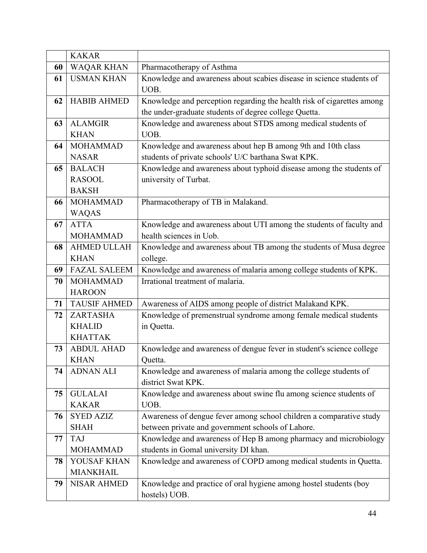|    | <b>KAKAR</b>        |                                                                              |
|----|---------------------|------------------------------------------------------------------------------|
| 60 | <b>WAQAR KHAN</b>   | Pharmacotherapy of Asthma                                                    |
| 61 | <b>USMAN KHAN</b>   | Knowledge and awareness about scabies disease in science students of<br>UOB. |
| 62 | <b>HABIB AHMED</b>  | Knowledge and perception regarding the health risk of cigarettes among       |
|    |                     |                                                                              |
|    |                     | the under-graduate students of degree college Quetta.                        |
| 63 | <b>ALAMGIR</b>      | Knowledge and awareness about STDS among medical students of                 |
|    | <b>KHAN</b>         | UOB.                                                                         |
| 64 | <b>MOHAMMAD</b>     | Knowledge and awareness about hep B among 9th and 10th class                 |
|    | <b>NASAR</b>        | students of private schools' U/C barthana Swat KPK.                          |
| 65 | <b>BALACH</b>       | Knowledge and awareness about typhoid disease among the students of          |
|    | <b>RASOOL</b>       | university of Turbat.                                                        |
|    | <b>BAKSH</b>        |                                                                              |
| 66 | <b>MOHAMMAD</b>     | Pharmacotherapy of TB in Malakand.                                           |
|    | <b>WAQAS</b>        |                                                                              |
| 67 | <b>ATTA</b>         | Knowledge and awareness about UTI among the students of faculty and          |
|    | <b>MOHAMMAD</b>     | health sciences in Uob.                                                      |
| 68 | <b>AHMED ULLAH</b>  | Knowledge and awareness about TB among the students of Musa degree           |
|    | <b>KHAN</b>         | college.                                                                     |
| 69 | <b>FAZAL SALEEM</b> | Knowledge and awareness of malaria among college students of KPK.            |
| 70 | <b>MOHAMMAD</b>     | Irrational treatment of malaria.                                             |
|    | <b>HAROON</b>       |                                                                              |
| 71 | <b>TAUSIF AHMED</b> | Awareness of AIDS among people of district Malakand KPK.                     |
| 72 | <b>ZARTASHA</b>     | Knowledge of premenstrual syndrome among female medical students             |
|    | <b>KHALID</b>       | in Quetta.                                                                   |
|    | <b>KHATTAK</b>      |                                                                              |
| 73 | <b>ABDUL AHAD</b>   | Knowledge and awareness of dengue fever in student's science college         |
|    | <b>KHAN</b>         | Quetta.                                                                      |
| 74 | <b>ADNAN ALI</b>    | Knowledge and awareness of malaria among the college students of             |
|    |                     | district Swat KPK.                                                           |
| 75 | <b>GULALAI</b>      | Knowledge and awareness about swine flu among science students of            |
|    | <b>KAKAR</b>        | UOB.                                                                         |
| 76 | <b>SYED AZIZ</b>    | Awareness of dengue fever among school children a comparative study          |
|    | <b>SHAH</b>         | between private and government schools of Lahore.                            |
| 77 | <b>TAJ</b>          | Knowledge and awareness of Hep B among pharmacy and microbiology             |
|    | <b>MOHAMMAD</b>     | students in Gomal university DI khan.                                        |
| 78 | YOUSAF KHAN         | Knowledge and awareness of COPD among medical students in Quetta.            |
|    | <b>MIANKHAIL</b>    |                                                                              |
| 79 | <b>NISAR AHMED</b>  | Knowledge and practice of oral hygiene among hostel students (boy            |
|    |                     | hostels) UOB.                                                                |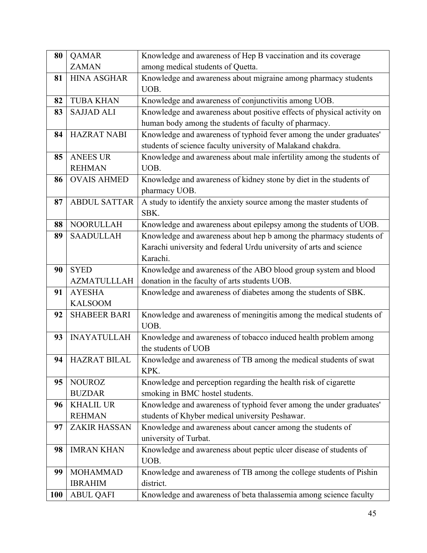| 80         | <b>QAMAR</b>        | Knowledge and awareness of Hep B vaccination and its coverage          |
|------------|---------------------|------------------------------------------------------------------------|
|            | <b>ZAMAN</b>        | among medical students of Quetta.                                      |
| 81         | <b>HINA ASGHAR</b>  | Knowledge and awareness about migraine among pharmacy students         |
|            |                     | UOB.                                                                   |
| 82         | <b>TUBA KHAN</b>    | Knowledge and awareness of conjunctivitis among UOB.                   |
| 83         | <b>SAJJAD ALI</b>   | Knowledge and awareness about positive effects of physical activity on |
|            |                     | human body among the students of faculty of pharmacy.                  |
| 84         | <b>HAZRAT NABI</b>  | Knowledge and awareness of typhoid fever among the under graduates'    |
|            |                     | students of science faculty university of Malakand chakdra.            |
| 85         | <b>ANEES UR</b>     | Knowledge and awareness about male infertility among the students of   |
|            | <b>REHMAN</b>       | UOB.                                                                   |
| 86         | <b>OVAIS AHMED</b>  | Knowledge and awareness of kidney stone by diet in the students of     |
|            |                     | pharmacy UOB.                                                          |
| 87         | <b>ABDUL SATTAR</b> | A study to identify the anxiety source among the master students of    |
|            |                     | SBK.                                                                   |
| 88         | <b>NOORULLAH</b>    | Knowledge and awareness about epilepsy among the students of UOB.      |
| 89         | <b>SAADULLAH</b>    | Knowledge and awareness about hep b among the pharmacy students of     |
|            |                     | Karachi university and federal Urdu university of arts and science     |
|            |                     | Karachi.                                                               |
| 90         | <b>SYED</b>         | Knowledge and awareness of the ABO blood group system and blood        |
|            | <b>AZMATULLLAH</b>  | donation in the faculty of arts students UOB.                          |
| 91         | <b>AYESHA</b>       | Knowledge and awareness of diabetes among the students of SBK.         |
|            | <b>KALSOOM</b>      |                                                                        |
| 92         | <b>SHABEER BARI</b> | Knowledge and awareness of meningitis among the medical students of    |
|            |                     | UOB.                                                                   |
| 93         | <b>INAYATULLAH</b>  | Knowledge and awareness of tobacco induced health problem among        |
|            |                     | the students of UOB                                                    |
|            | 94   HAZRAT BILAL   | Knowledge and awareness of TB among the medical students of swat       |
|            |                     | KPK.                                                                   |
| 95         | <b>NOUROZ</b>       | Knowledge and perception regarding the health risk of cigarette        |
|            | <b>BUZDAR</b>       | smoking in BMC hostel students.                                        |
| 96         | <b>KHALIL UR</b>    | Knowledge and awareness of typhoid fever among the under graduates'    |
|            | <b>REHMAN</b>       | students of Khyber medical university Peshawar.                        |
| 97         | <b>ZAKIR HASSAN</b> | Knowledge and awareness about cancer among the students of             |
|            |                     | university of Turbat.                                                  |
| 98         | <b>IMRAN KHAN</b>   | Knowledge and awareness about peptic ulcer disease of students of      |
|            |                     | UOB.                                                                   |
| 99         | <b>MOHAMMAD</b>     | Knowledge and awareness of TB among the college students of Pishin     |
|            | <b>IBRAHIM</b>      | district.                                                              |
| <b>100</b> | <b>ABUL QAFI</b>    | Knowledge and awareness of beta thalassemia among science faculty      |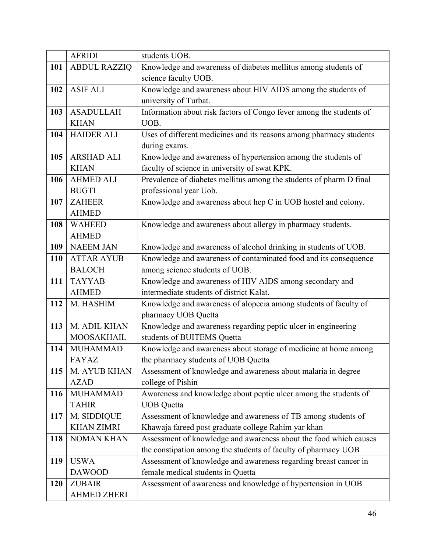|            | <b>AFRIDI</b>       | students UOB.                                                       |
|------------|---------------------|---------------------------------------------------------------------|
| 101        | <b>ABDUL RAZZIQ</b> | Knowledge and awareness of diabetes mellitus among students of      |
|            |                     | science faculty UOB.                                                |
| 102        | <b>ASIF ALI</b>     | Knowledge and awareness about HIV AIDS among the students of        |
|            |                     | university of Turbat.                                               |
| 103        | <b>ASADULLAH</b>    | Information about risk factors of Congo fever among the students of |
|            | <b>KHAN</b>         | UOB.                                                                |
| 104        | <b>HAIDER ALI</b>   | Uses of different medicines and its reasons among pharmacy students |
|            |                     | during exams.                                                       |
| 105        | <b>ARSHAD ALI</b>   | Knowledge and awareness of hypertension among the students of       |
|            | <b>KHAN</b>         | faculty of science in university of swat KPK.                       |
| 106        | <b>AHMED ALI</b>    | Prevalence of diabetes mellitus among the students of pharm D final |
|            | <b>BUGTI</b>        | professional year Uob.                                              |
| 107        | <b>ZAHEER</b>       | Knowledge and awareness about hep C in UOB hostel and colony.       |
|            | <b>AHMED</b>        |                                                                     |
| 108        | <b>WAHEED</b>       | Knowledge and awareness about allergy in pharmacy students.         |
|            | <b>AHMED</b>        |                                                                     |
| 109        | <b>NAEEM JAN</b>    | Knowledge and awareness of alcohol drinking in students of UOB.     |
| 110        | <b>ATTAR AYUB</b>   | Knowledge and awareness of contaminated food and its consequence    |
|            | <b>BALOCH</b>       | among science students of UOB.                                      |
| 111        | <b>TAYYAB</b>       | Knowledge and awareness of HIV AIDS among secondary and             |
|            | <b>AHMED</b>        | intermediate students of district Kalat.                            |
| 112        | M. HASHIM           | Knowledge and awareness of alopecia among students of faculty of    |
|            |                     | pharmacy UOB Quetta                                                 |
| 113        | M. ADIL KHAN        | Knowledge and awareness regarding peptic ulcer in engineering       |
|            | <b>MOOSAKHAIL</b>   | students of BUITEMS Quetta                                          |
| 114        | <b>MUHAMMAD</b>     | Knowledge and awareness about storage of medicine at home among     |
|            | <b>FAYAZ</b>        | the pharmacy students of UOB Quetta                                 |
| 115        | M. AYUB KHAN        | Assessment of knowledge and awareness about malaria in degree       |
|            | <b>AZAD</b>         | college of Pishin                                                   |
| 116        | <b>MUHAMMAD</b>     | Awareness and knowledge about peptic ulcer among the students of    |
|            | <b>TAHIR</b>        | <b>UOB</b> Quetta                                                   |
| 117        | M. SIDDIQUE         | Assessment of knowledge and awareness of TB among students of       |
|            | <b>KHAN ZIMRI</b>   | Khawaja fareed post graduate college Rahim yar khan                 |
| 118        | <b>NOMAN KHAN</b>   | Assessment of knowledge and awareness about the food which causes   |
|            |                     | the constipation among the students of faculty of pharmacy UOB      |
| 119        | <b>USWA</b>         | Assessment of knowledge and awareness regarding breast cancer in    |
|            | <b>DAWOOD</b>       | female medical students in Quetta                                   |
| <b>120</b> | <b>ZUBAIR</b>       | Assessment of awareness and knowledge of hypertension in UOB        |
|            | <b>AHMED ZHERI</b>  |                                                                     |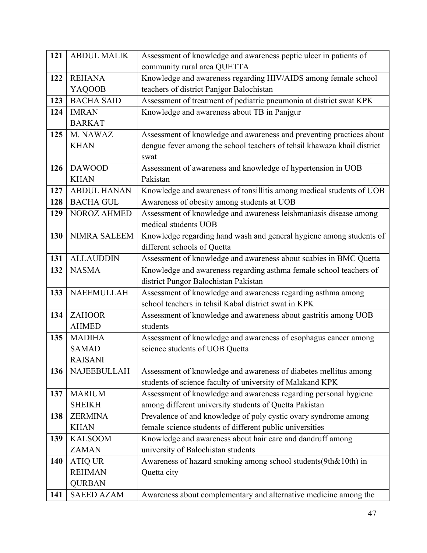| 121 | <b>ABDUL MALIK</b>  | Assessment of knowledge and awareness peptic ulcer in patients of       |
|-----|---------------------|-------------------------------------------------------------------------|
|     |                     | community rural area QUETTA                                             |
| 122 | <b>REHANA</b>       | Knowledge and awareness regarding HIV/AIDS among female school          |
|     | <b>YAQOOB</b>       | teachers of district Panjgor Balochistan                                |
| 123 | <b>BACHA SAID</b>   | Assessment of treatment of pediatric pneumonia at district swat KPK     |
| 124 | <b>IMRAN</b>        | Knowledge and awareness about TB in Panjgur                             |
|     | <b>BARKAT</b>       |                                                                         |
| 125 | M. NAWAZ            | Assessment of knowledge and awareness and preventing practices about    |
|     | <b>KHAN</b>         | dengue fever among the school teachers of tehsil khawaza khail district |
|     |                     | swat                                                                    |
| 126 | <b>DAWOOD</b>       | Assessment of awareness and knowledge of hypertension in UOB            |
|     | <b>KHAN</b>         | Pakistan                                                                |
| 127 | <b>ABDUL HANAN</b>  | Knowledge and awareness of tonsillitis among medical students of UOB    |
| 128 | <b>BACHA GUL</b>    | Awareness of obesity among students at UOB                              |
| 129 | <b>NOROZ AHMED</b>  | Assessment of knowledge and awareness leishmaniasis disease among       |
|     |                     | medical students UOB                                                    |
| 130 | <b>NIMRA SALEEM</b> | Knowledge regarding hand wash and general hygiene among students of     |
|     |                     | different schools of Quetta                                             |
| 131 | <b>ALLAUDDIN</b>    | Assessment of knowledge and awareness about scabies in BMC Quetta       |
| 132 | <b>NASMA</b>        | Knowledge and awareness regarding asthma female school teachers of      |
|     |                     | district Pungor Balochistan Pakistan                                    |
| 133 | <b>NAEEMULLAH</b>   | Assessment of knowledge and awareness regarding asthma among            |
|     |                     | school teachers in tehsil Kabal district swat in KPK                    |
| 134 | <b>ZAHOOR</b>       | Assessment of knowledge and awareness about gastritis among UOB         |
|     | <b>AHMED</b>        | students                                                                |
| 135 | <b>MADIHA</b>       | Assessment of knowledge and awareness of esophagus cancer among         |
|     | <b>SAMAD</b>        | science students of UOB Quetta                                          |
|     | <b>RAISANI</b>      |                                                                         |
| 136 | NAJEEBULLAH         | Assessment of knowledge and awareness of diabetes mellitus among        |
|     |                     | students of science faculty of university of Malakand KPK               |
| 137 | <b>MARIUM</b>       | Assessment of knowledge and awareness regarding personal hygiene        |
|     | <b>SHEIKH</b>       | among different university students of Quetta Pakistan                  |
| 138 | <b>ZERMINA</b>      | Prevalence of and knowledge of poly cystic ovary syndrome among         |
|     | <b>KHAN</b>         | female science students of different public universities                |
| 139 | <b>KALSOOM</b>      | Knowledge and awareness about hair care and dandruff among              |
|     | <b>ZAMAN</b>        | university of Balochistan students                                      |
| 140 | <b>ATIQ UR</b>      | Awareness of hazard smoking among school students (9th&10th) in         |
|     | <b>REHMAN</b>       | Quetta city                                                             |
|     | <b>QURBAN</b>       |                                                                         |
| 141 | <b>SAEED AZAM</b>   | Awareness about complementary and alternative medicine among the        |